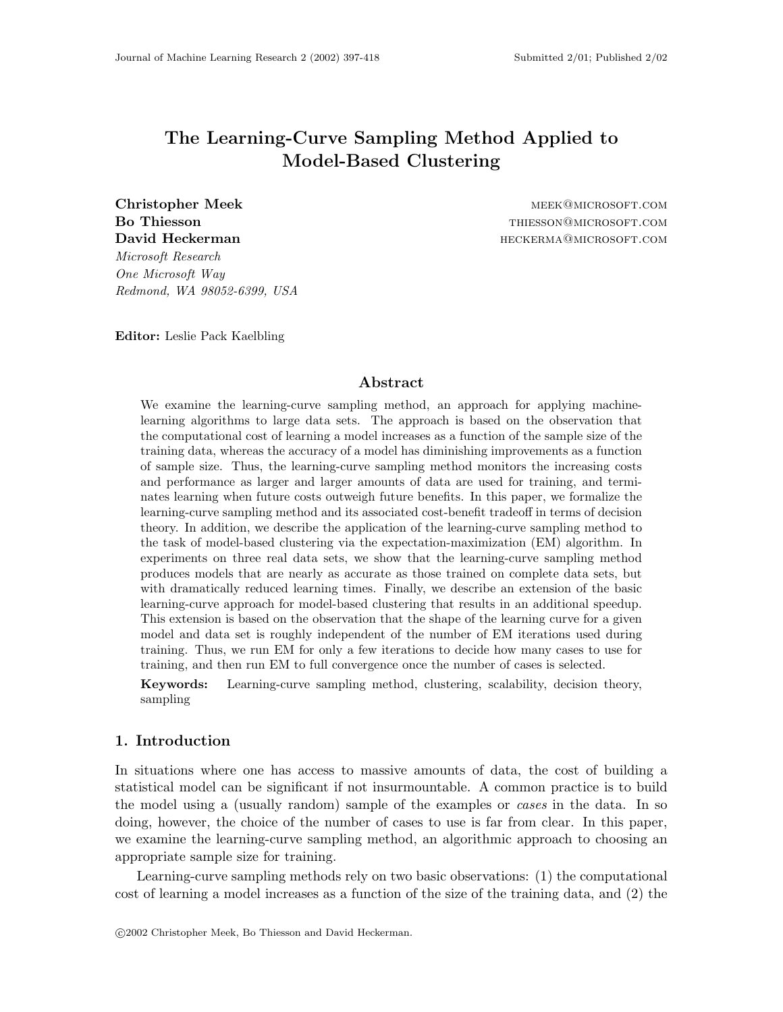# **The Learning-Curve Sampling Method Applied to Model-Based Clustering**

*Microsoft Research One Microsoft Way Redmond, WA 98052-6399, USA*

**Christopher Meek** meek@microsoft.com **Bo Thiesson** this state that the state of the state of the state of the state of the state of the state of the state of the state of the state of the state of the state of the state of the state of the state of the state **David Heckerman heckerman heckerman heckerman heckerma@microsoft.com** 

**Editor:** Leslie Pack Kaelbling

## **Abstract**

We examine the learning-curve sampling method, an approach for applying machinelearning algorithms to large data sets. The approach is based on the observation that the computational cost of learning a model increases as a function of the sample size of the training data, whereas the accuracy of a model has diminishing improvements as a function of sample size. Thus, the learning-curve sampling method monitors the increasing costs and performance as larger and larger amounts of data are used for training, and terminates learning when future costs outweigh future benefits. In this paper, we formalize the learning-curve sampling method and its associated cost-benefit tradeoff in terms of decision theory. In addition, we describe the application of the learning-curve sampling method to the task of model-based clustering via the expectation-maximization (EM) algorithm. In experiments on three real data sets, we show that the learning-curve sampling method produces models that are nearly as accurate as those trained on complete data sets, but with dramatically reduced learning times. Finally, we describe an extension of the basic learning-curve approach for model-based clustering that results in an additional speedup. This extension is based on the observation that the shape of the learning curve for a given model and data set is roughly independent of the number of EM iterations used during training. Thus, we run EM for only a few iterations to decide how many cases to use for training, and then run EM to full convergence once the number of cases is selected.

**Keywords:** Learning-curve sampling method, clustering, scalability, decision theory, sampling

## **1. Introduction**

In situations where one has access to massive amounts of data, the cost of building a statistical model can be significant if not insurmountable. A common practice is to build the model using a (usually random) sample of the examples or *cases* in the data. In so doing, however, the choice of the number of cases to use is far from clear. In this paper, we examine the learning-curve sampling method, an algorithmic approach to choosing an appropriate sample size for training.

Learning-curve sampling methods rely on two basic observations: (1) the computational cost of learning a model increases as a function of the size of the training data, and (2) the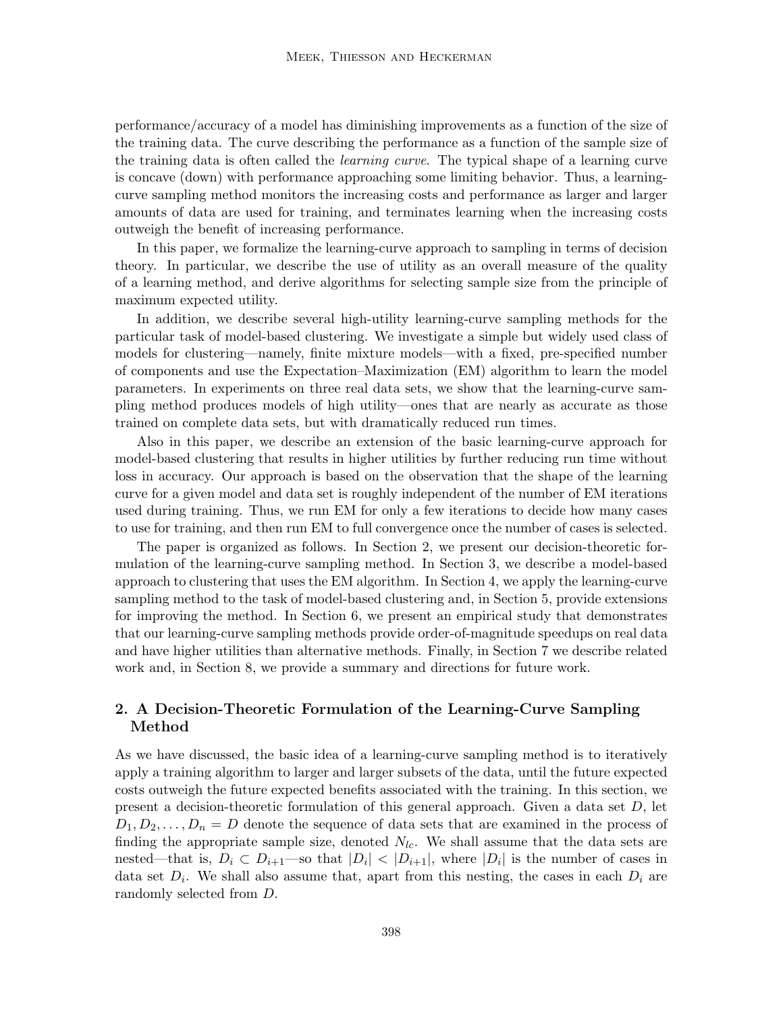performance/accuracy of a model has diminishing improvements as a function of the size of the training data. The curve describing the performance as a function of the sample size of the training data is often called the *learning curve*. The typical shape of a learning curve is concave (down) with performance approaching some limiting behavior. Thus, a learningcurve sampling method monitors the increasing costs and performance as larger and larger amounts of data are used for training, and terminates learning when the increasing costs outweigh the benefit of increasing performance.

In this paper, we formalize the learning-curve approach to sampling in terms of decision theory. In particular, we describe the use of utility as an overall measure of the quality of a learning method, and derive algorithms for selecting sample size from the principle of maximum expected utility.

In addition, we describe several high-utility learning-curve sampling methods for the particular task of model-based clustering. We investigate a simple but widely used class of models for clustering—namely, finite mixture models—with a fixed, pre-specified number of components and use the Expectation–Maximization (EM) algorithm to learn the model parameters. In experiments on three real data sets, we show that the learning-curve sampling method produces models of high utility—ones that are nearly as accurate as those trained on complete data sets, but with dramatically reduced run times.

Also in this paper, we describe an extension of the basic learning-curve approach for model-based clustering that results in higher utilities by further reducing run time without loss in accuracy. Our approach is based on the observation that the shape of the learning curve for a given model and data set is roughly independent of the number of EM iterations used during training. Thus, we run EM for only a few iterations to decide how many cases to use for training, and then run EM to full convergence once the number of cases is selected.

The paper is organized as follows. In Section 2, we present our decision-theoretic formulation of the learning-curve sampling method. In Section 3, we describe a model-based approach to clustering that uses the EM algorithm. In Section 4, we apply the learning-curve sampling method to the task of model-based clustering and, in Section 5, provide extensions for improving the method. In Section 6, we present an empirical study that demonstrates that our learning-curve sampling methods provide order-of-magnitude speedups on real data and have higher utilities than alternative methods. Finally, in Section 7 we describe related work and, in Section 8, we provide a summary and directions for future work.

# **2. A Decision-Theoretic Formulation of the Learning-Curve Sampling Method**

As we have discussed, the basic idea of a learning-curve sampling method is to iteratively apply a training algorithm to larger and larger subsets of the data, until the future expected costs outweigh the future expected benefits associated with the training. In this section, we present a decision-theoretic formulation of this general approach. Given a data set D, let  $D_1, D_2, \ldots, D_n = D$  denote the sequence of data sets that are examined in the process of finding the appropriate sample size, denoted  $N_{lc}$ . We shall assume that the data sets are nested—that is,  $D_i \subset D_{i+1}$ —so that  $|D_i| < |D_{i+1}|$ , where  $|D_i|$  is the number of cases in data set  $D_i$ . We shall also assume that, apart from this nesting, the cases in each  $D_i$  are randomly selected from D.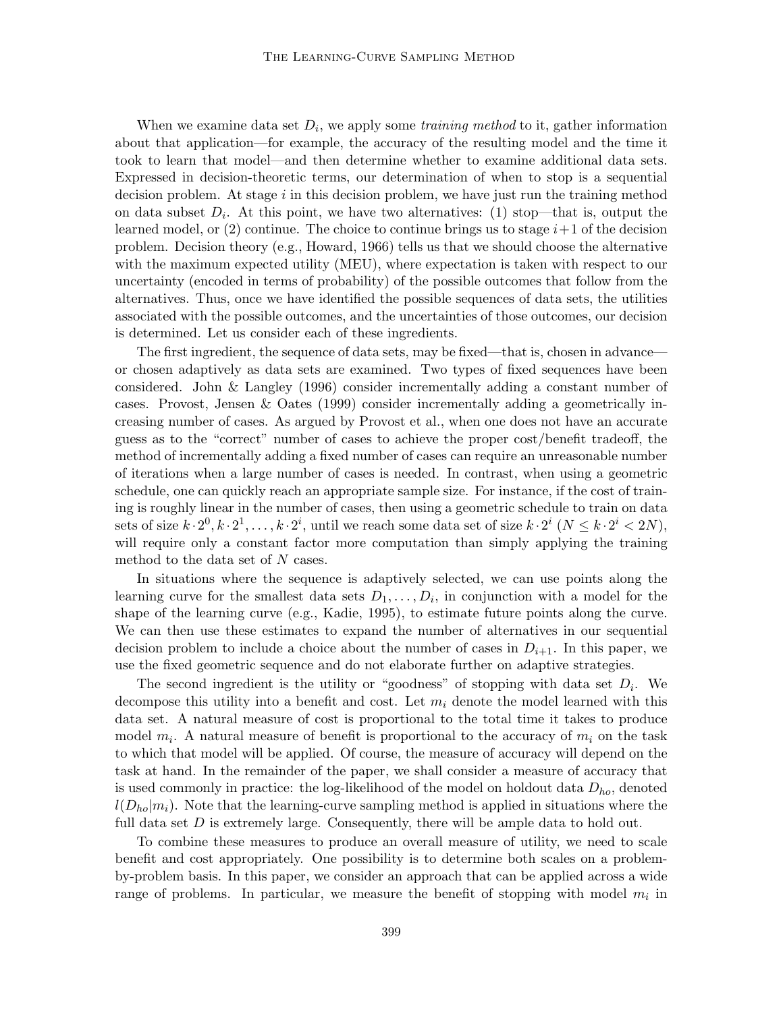When we examine data set  $D_i$ , we apply some *training method* to it, gather information about that application—for example, the accuracy of the resulting model and the time it took to learn that model—and then determine whether to examine additional data sets. Expressed in decision-theoretic terms, our determination of when to stop is a sequential decision problem. At stage  $i$  in this decision problem, we have just run the training method on data subset  $D_i$ . At this point, we have two alternatives: (1) stop—that is, output the learned model, or  $(2)$  continue. The choice to continue brings us to stage  $i+1$  of the decision problem. Decision theory (e.g., Howard, 1966) tells us that we should choose the alternative with the maximum expected utility (MEU), where expectation is taken with respect to our uncertainty (encoded in terms of probability) of the possible outcomes that follow from the alternatives. Thus, once we have identified the possible sequences of data sets, the utilities associated with the possible outcomes, and the uncertainties of those outcomes, our decision is determined. Let us consider each of these ingredients.

The first ingredient, the sequence of data sets, may be fixed—that is, chosen in advance or chosen adaptively as data sets are examined. Two types of fixed sequences have been considered. John & Langley (1996) consider incrementally adding a constant number of cases. Provost, Jensen & Oates (1999) consider incrementally adding a geometrically increasing number of cases. As argued by Provost et al., when one does not have an accurate guess as to the "correct" number of cases to achieve the proper cost/benefit tradeoff, the method of incrementally adding a fixed number of cases can require an unreasonable number of iterations when a large number of cases is needed. In contrast, when using a geometric schedule, one can quickly reach an appropriate sample size. For instance, if the cost of training is roughly linear in the number of cases, then using a geometric schedule to train on data sets of size  $k \cdot 2^0, k \cdot 2^1, \ldots, k \cdot 2^i$ , until we reach some data set of size  $k \cdot 2^i$   $(N \leq k \cdot 2^i < 2N)$ , will require only a constant factor more computation than simply applying the training method to the data set of  $N$  cases.

In situations where the sequence is adaptively selected, we can use points along the learning curve for the smallest data sets  $D_1, \ldots, D_i$ , in conjunction with a model for the shape of the learning curve (e.g., Kadie, 1995), to estimate future points along the curve. We can then use these estimates to expand the number of alternatives in our sequential decision problem to include a choice about the number of cases in  $D_{i+1}$ . In this paper, we use the fixed geometric sequence and do not elaborate further on adaptive strategies.

The second ingredient is the utility or "goodness" of stopping with data set  $D_i$ . We decompose this utility into a benefit and cost. Let  $m_i$  denote the model learned with this data set. A natural measure of cost is proportional to the total time it takes to produce model  $m_i$ . A natural measure of benefit is proportional to the accuracy of  $m_i$  on the task to which that model will be applied. Of course, the measure of accuracy will depend on the task at hand. In the remainder of the paper, we shall consider a measure of accuracy that is used commonly in practice: the log-likelihood of the model on holdout data  $D_{ho}$ , denoted  $l(D_{ho}|m_i)$ . Note that the learning-curve sampling method is applied in situations where the full data set  $D$  is extremely large. Consequently, there will be ample data to hold out.

To combine these measures to produce an overall measure of utility, we need to scale benefit and cost appropriately. One possibility is to determine both scales on a problemby-problem basis. In this paper, we consider an approach that can be applied across a wide range of problems. In particular, we measure the benefit of stopping with model  $m_i$  in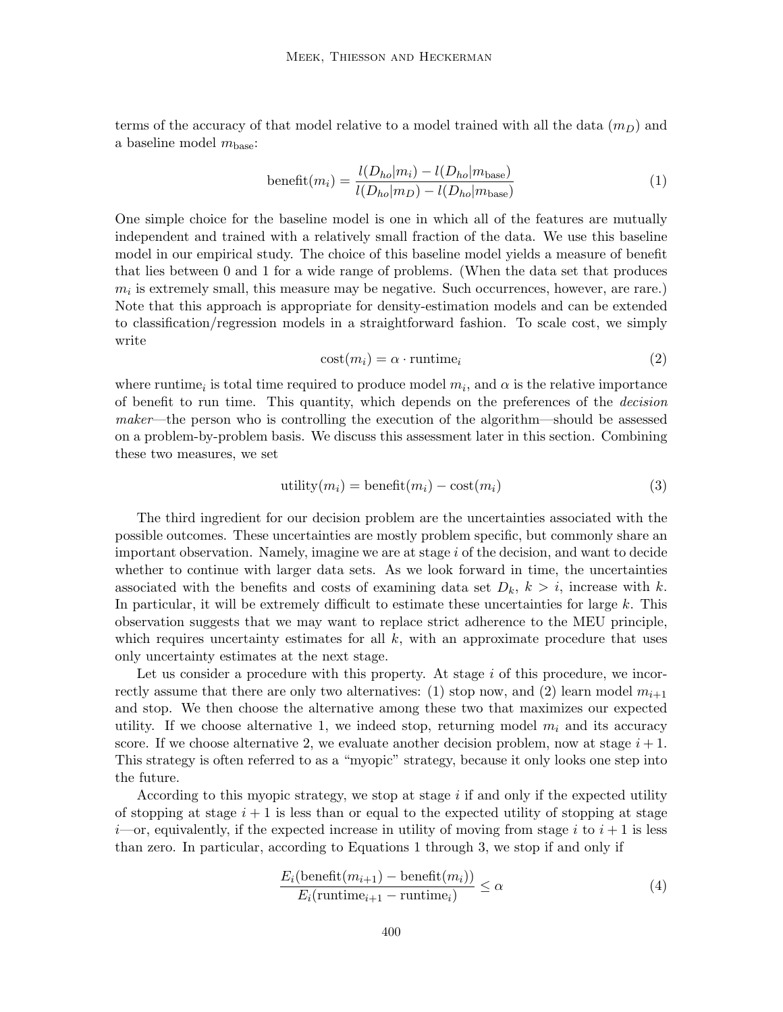terms of the accuracy of that model relative to a model trained with all the data  $(m_D)$  and a baseline model  $m_{base}$ :

$$
benefit(m_i) = \frac{l(D_{ho}|m_i) - l(D_{ho}|m_{base})}{l(D_{ho}|m_D) - l(D_{ho}|m_{base})}
$$
\n(1)

One simple choice for the baseline model is one in which all of the features are mutually independent and trained with a relatively small fraction of the data. We use this baseline model in our empirical study. The choice of this baseline model yields a measure of benefit that lies between 0 and 1 for a wide range of problems. (When the data set that produces  $m_i$  is extremely small, this measure may be negative. Such occurrences, however, are rare.) Note that this approach is appropriate for density-estimation models and can be extended to classification/regression models in a straightforward fashion. To scale cost, we simply write

$$
cost(m_i) = \alpha \cdot runtime_i \tag{2}
$$

where runtime<sub>i</sub> is total time required to produce model  $m_i$ , and  $\alpha$  is the relative importance of benefit to run time. This quantity, which depends on the preferences of the *decision maker*—the person who is controlling the execution of the algorithm—should be assessed on a problem-by-problem basis. We discuss this assessment later in this section. Combining these two measures, we set

$$
utility(m_i) = benefit(m_i) - cost(m_i)
$$
\n(3)

The third ingredient for our decision problem are the uncertainties associated with the possible outcomes. These uncertainties are mostly problem specific, but commonly share an important observation. Namely, imagine we are at stage i of the decision, and want to decide whether to continue with larger data sets. As we look forward in time, the uncertainties associated with the benefits and costs of examining data set  $D_k$ ,  $k>i$ , increase with k. In particular, it will be extremely difficult to estimate these uncertainties for large  $k$ . This observation suggests that we may want to replace strict adherence to the MEU principle, which requires uncertainty estimates for all  $k$ , with an approximate procedure that uses only uncertainty estimates at the next stage.

Let us consider a procedure with this property. At stage  $i$  of this procedure, we incorrectly assume that there are only two alternatives: (1) stop now, and (2) learn model  $m_{i+1}$ and stop. We then choose the alternative among these two that maximizes our expected utility. If we choose alternative 1, we indeed stop, returning model  $m_i$  and its accuracy score. If we choose alternative 2, we evaluate another decision problem, now at stage  $i + 1$ . This strategy is often referred to as a "myopic" strategy, because it only looks one step into the future.

According to this myopic strategy, we stop at stage  $i$  if and only if the expected utility of stopping at stage  $i + 1$  is less than or equal to the expected utility of stopping at stage  $i$ —or, equivalently, if the expected increase in utility of moving from stage i to  $i + 1$  is less than zero. In particular, according to Equations 1 through 3, we stop if and only if

$$
\frac{E_i(\text{ benefit}(m_{i+1}) - \text{ benefit}(m_i))}{E_i(\text{ runtime}_{i+1} - \text{ runtime}_i)} \le \alpha \tag{4}
$$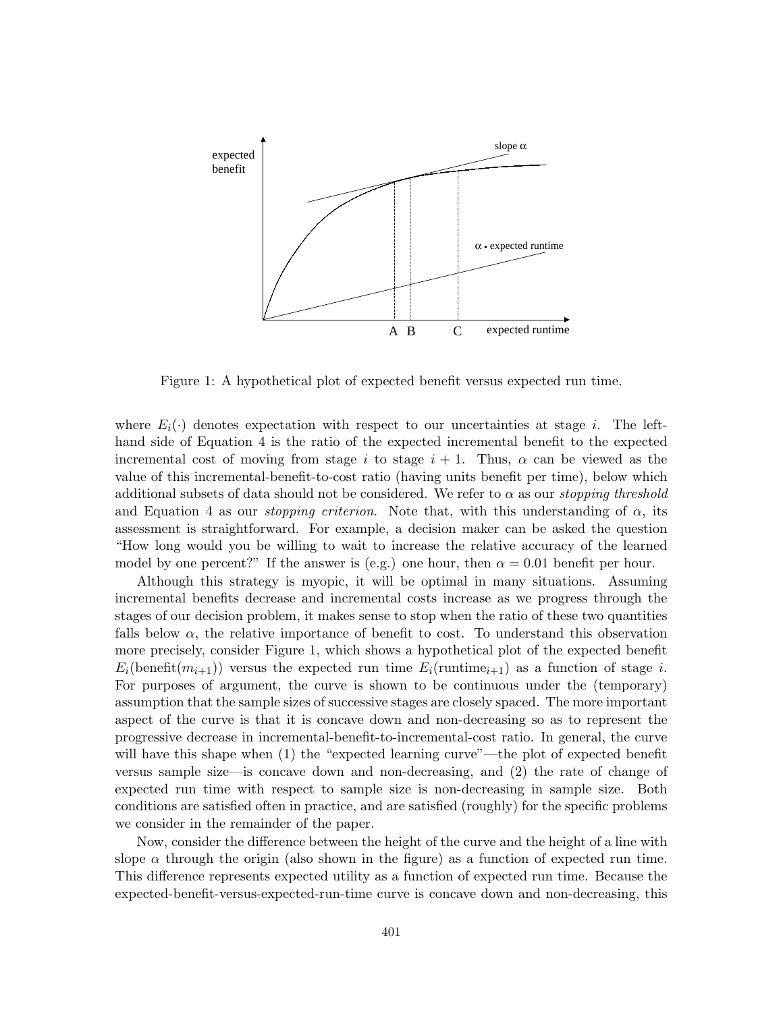

Figure 1: A hypothetical plot of expected benefit versus expected run time.

where  $E_i(\cdot)$  denotes expectation with respect to our uncertainties at stage i. The lefthand side of Equation 4 is the ratio of the expected incremental benefit to the expected incremental cost of moving from stage i to stage  $i + 1$ . Thus,  $\alpha$  can be viewed as the value of this incremental-benefit-to-cost ratio (having units benefit per time), belowwhich additional subsets of data should not be considered. We refer to  $\alpha$  as our *stopping threshold* and Equation 4 as our *stopping criterion*. Note that, with this understanding of  $\alpha$ , its assessment is straightforward. For example, a decision maker can be asked the question "How long would you be willing to wait to increase the relative accuracy of the learned model by one percent?" If the answer is (e.g.) one hour, then  $\alpha = 0.01$  benefit per hour.

Although this strategy is myopic, it will be optimal in many situations. Assuming incremental benefits decrease and incremental costs increase as we progress through the stages of our decision problem, it makes sense to stop when the ratio of these two quantities falls below  $\alpha$ , the relative importance of benefit to cost. To understand this observation more precisely, consider Figure 1, which shows a hypothetical plot of the expected benefit  $E_i(\text{benefit}(m_{i+1}))$  versus the expected run time  $E_i(\text{running}_{i+1})$  as a function of stage i. For purposes of argument, the curve is shown to be continuous under the (temporary) assumption that the sample sizes of successive stages are closely spaced. The more important aspect of the curve is that it is concave down and non-decreasing so as to represent the progressive decrease in incremental-benefit-to-incremental-cost ratio. In general, the curve will have this shape when  $(1)$  the "expected learning curve"—the plot of expected benefit versus sample size—is concave down and non-decreasing, and (2) the rate of change of expected run time with respect to sample size is non-decreasing in sample size. Both conditions are satisfied often in practice, and are satisfied (roughly) for the specific problems we consider in the remainder of the paper.

Now, consider the difference between the height of the curve and the height of a line with slope  $\alpha$  through the origin (also shown in the figure) as a function of expected run time. This difference represents expected utility as a function of expected run time. Because the expected-benefit-versus-expected-run-time curve is concave down and non-decreasing, this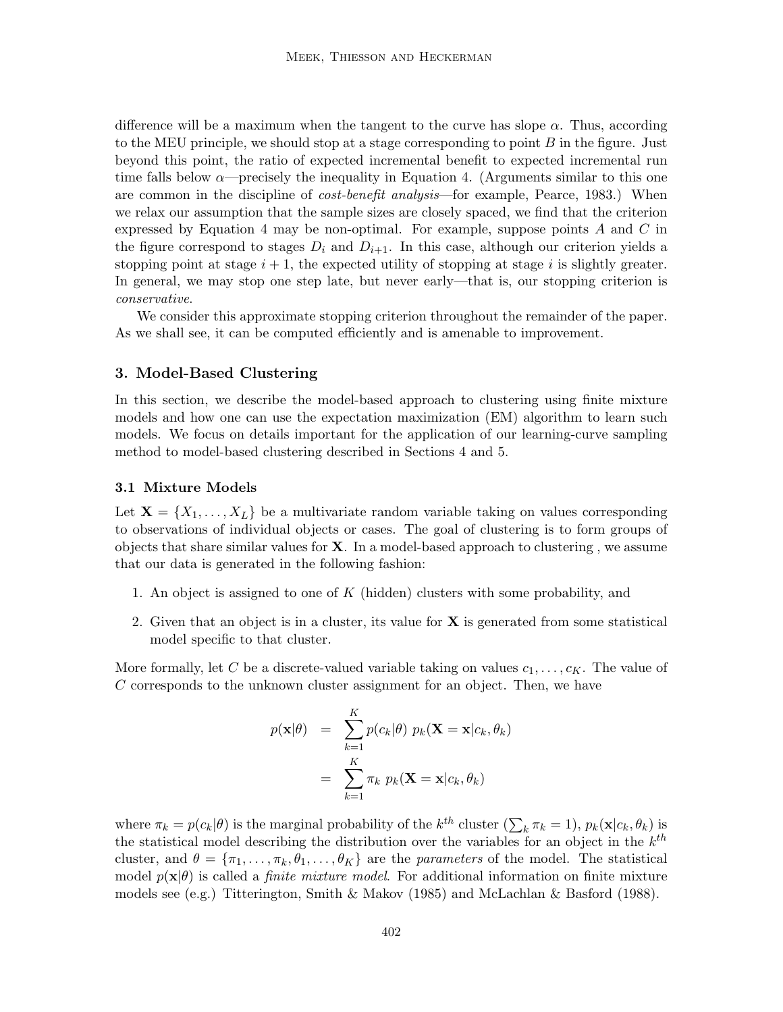difference will be a maximum when the tangent to the curve has slope  $\alpha$ . Thus, according to the MEU principle, we should stop at a stage corresponding to point  $B$  in the figure. Just beyond this point, the ratio of expected incremental benefit to expected incremental run time falls below  $\alpha$ —precisely the inequality in Equation 4. (Arguments similar to this one are common in the discipline of *cost-benefit analysis*—for example, Pearce, 1983.) When we relax our assumption that the sample sizes are closely spaced, we find that the criterion expressed by Equation 4 may be non-optimal. For example, suppose points A and C in the figure correspond to stages  $D_i$  and  $D_{i+1}$ . In this case, although our criterion yields a stopping point at stage  $i + 1$ , the expected utility of stopping at stage i is slightly greater. In general, we may stop one step late, but never early—that is, our stopping criterion is *conservative*.

We consider this approximate stopping criterion throughout the remainder of the paper. As we shall see, it can be computed efficiently and is amenable to improvement.

## **3. Model-Based Clustering**

In this section, we describe the model-based approach to clustering using finite mixture models and howone can use the expectation maximization (EM) algorithm to learn such models. We focus on details important for the application of our learning-curve sampling method to model-based clustering described in Sections 4 and 5.

#### **3.1 Mixture Models**

Let  $X = \{X_1, \ldots, X_L\}$  be a multivariate random variable taking on values corresponding to observations of individual objects or cases. The goal of clustering is to form groups of objects that share similar values for **X**. In a model-based approach to clustering , we assume that our data is generated in the following fashion:

- 1. An object is assigned to one of K (hidden) clusters with some probability, and
- 2. Given that an object is in a cluster, its value for **X** is generated from some statistical model specific to that cluster.

More formally, let C be a discrete-valued variable taking on values  $c_1,\ldots,c_K$ . The value of C corresponds to the unknown cluster assignment for an object. Then, we have

$$
p(\mathbf{x}|\theta) = \sum_{k=1}^{K} p(c_k|\theta) p_k(\mathbf{X} = \mathbf{x}|c_k, \theta_k)
$$

$$
= \sum_{k=1}^{K} \pi_k p_k(\mathbf{X} = \mathbf{x}|c_k, \theta_k)
$$

where  $\pi_k = p(c_k|\theta)$  is the marginal probability of the  $k^{th}$  cluster  $(\sum_k \pi_k = 1)$ ,  $p_k(\mathbf{x}|c_k, \theta_k)$  is the statistical model describing the distribution over the variables for an object in the  $k^{th}$ cluster, and  $\theta = {\pi_1, \ldots, \pi_k, \theta_1, \ldots, \theta_K}$  are the *parameters* of the model. The statistical model  $p(\mathbf{x}|\theta)$  is called a *finite mixture model*. For additional information on finite mixture models see (e.g.) Titterington, Smith & Makov (1985) and McLachlan & Basford (1988).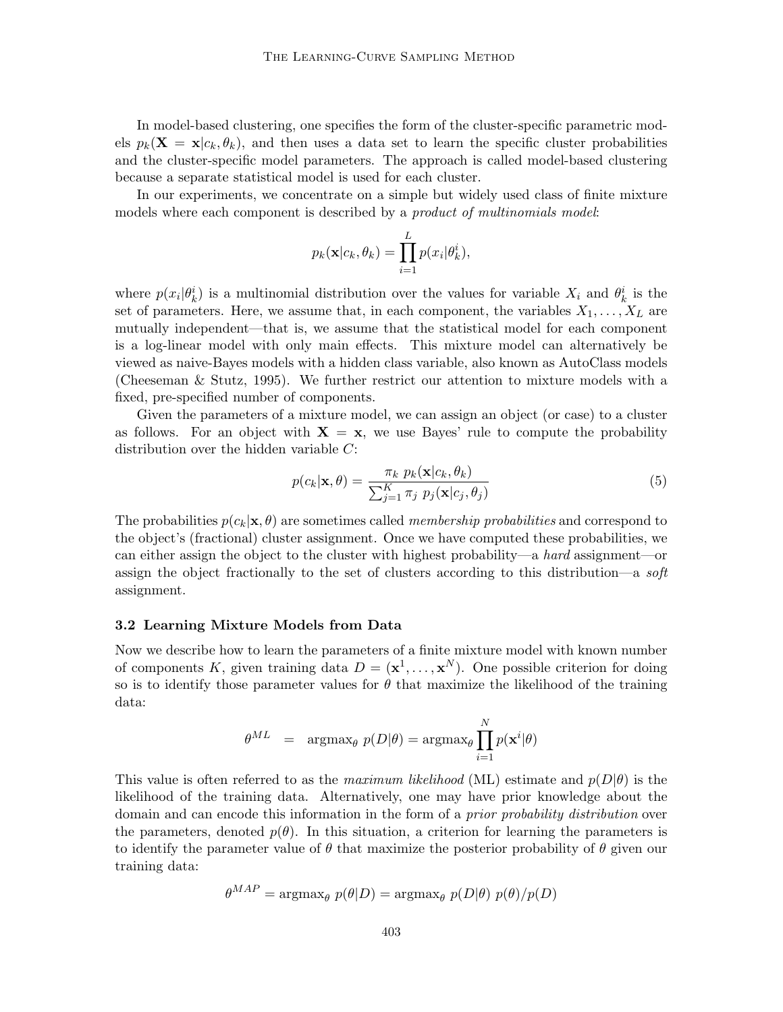In model-based clustering, one specifies the form of the cluster-specific parametric models  $p_k(\mathbf{X} = \mathbf{x}|c_k, \theta_k)$ , and then uses a data set to learn the specific cluster probabilities and the cluster-specific model parameters. The approach is called model-based clustering because a separate statistical model is used for each cluster.

In our experiments, we concentrate on a simple but widely used class of finite mixture models where each component is described by a *product of multinomials model*:

$$
p_k(\mathbf{x}|c_k, \theta_k) = \prod_{i=1}^L p(x_i|\theta_k^i),
$$

where  $p(x_i|\theta_k^i)$  is a multinomial distribution over the values for variable  $X_i$  and  $\theta_k^i$  is the set of parameters. Here, we assume that, in each component, the variables  $X_1, \ldots, X_L$  are mutually independent—that is, we assume that the statistical model for each component is a log-linear model with only main effects. This mixture model can alternatively be viewed as naive-Bayes models with a hidden class variable, also known as AutoClass models (Cheeseman & Stutz, 1995). We further restrict our attention to mixture models with a fixed, pre-specified number of components.

Given the parameters of a mixture model, we can assign an object (or case) to a cluster as follows. For an object with  $X = x$ , we use Bayes' rule to compute the probability distribution over the hidden variable C:

$$
p(c_k|\mathbf{x}, \theta) = \frac{\pi_k p_k(\mathbf{x}|c_k, \theta_k)}{\sum_{j=1}^K \pi_j p_j(\mathbf{x}|c_j, \theta_j)}
$$
(5)

The probabilities  $p(c_k|\mathbf{x}, \theta)$  are sometimes called *membership probabilities* and correspond to the object's (fractional) cluster assignment. Once we have computed these probabilities, we can either assign the object to the cluster with highest probability—a *hard* assignment—or assign the object fractionally to the set of clusters according to this distribution—a *soft* assignment.

#### **3.2 Learning Mixture Models from Data**

Nowwe describe howto learn the parameters of a finite mixture model with known number of components K, given training data  $D = (\mathbf{x}^1, \dots, \mathbf{x}^N)$ . One possible criterion for doing so is to identify those parameter values for  $\theta$  that maximize the likelihood of the training data:

$$
\theta^{ML} = \operatorname{argmax}_{\theta} p(D|\theta) = \operatorname{argmax}_{\theta} \prod_{i=1}^{N} p(\mathbf{x}^{i}|\theta)
$$

This value is often referred to as the *maximum likelihood* (ML) estimate and  $p(D|\theta)$  is the likelihood of the training data. Alternatively, one may have prior knowledge about the domain and can encode this information in the form of a *prior probability distribution* over the parameters, denoted  $p(\theta)$ . In this situation, a criterion for learning the parameters is to identify the parameter value of  $\theta$  that maximize the posterior probability of  $\theta$  given our training data:

$$
\theta^{MAP} = \operatorname{argmax}_{\theta} p(\theta|D) = \operatorname{argmax}_{\theta} p(D|\theta) p(\theta) / p(D)
$$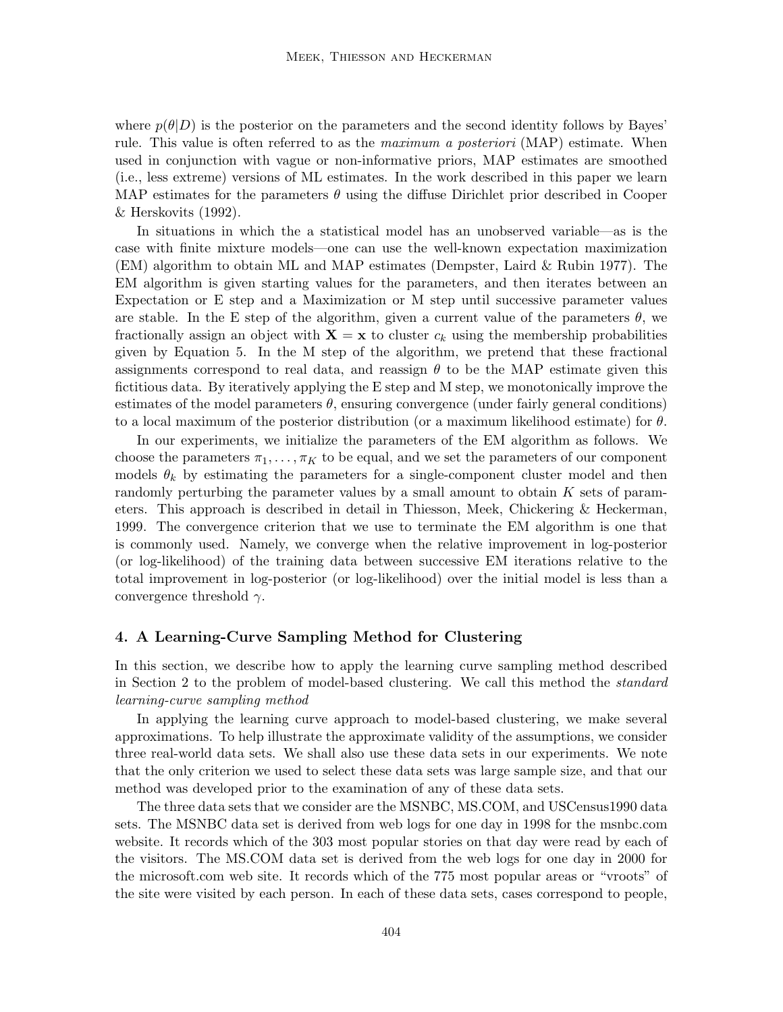where  $p(\theta|D)$  is the posterior on the parameters and the second identity follows by Bayes' rule. This value is often referred to as the *maximum a posteriori* (MAP) estimate. When used in conjunction with vague or non-informative priors, MAP estimates are smoothed (i.e., less extreme) versions of ML estimates. In the work described in this paper we learn MAP estimates for the parameters  $\theta$  using the diffuse Dirichlet prior described in Cooper & Herskovits (1992).

In situations in which the a statistical model has an unobserved variable—as is the case with finite mixture models—one can use the well-known expectation maximization (EM) algorithm to obtain ML and MAP estimates (Dempster, Laird & Rubin 1977). The EM algorithm is given starting values for the parameters, and then iterates between an Expectation or E step and a Maximization or M step until successive parameter values are stable. In the E step of the algorithm, given a current value of the parameters  $\theta$ , we fractionally assign an object with  $X = x$  to cluster  $c_k$  using the membership probabilities given by Equation 5. In the M step of the algorithm, we pretend that these fractional assignments correspond to real data, and reassign  $\theta$  to be the MAP estimate given this fictitious data. By iteratively applying the E step and M step, we monotonically improve the estimates of the model parameters  $\theta$ , ensuring convergence (under fairly general conditions) to a local maximum of the posterior distribution (or a maximum likelihood estimate) for  $\theta$ .

In our experiments, we initialize the parameters of the EM algorithm as follows. We choose the parameters  $\pi_1, \ldots, \pi_K$  to be equal, and we set the parameters of our component models  $\theta_k$  by estimating the parameters for a single-component cluster model and then randomly perturbing the parameter values by a small amount to obtain  $K$  sets of parameters. This approach is described in detail in Thiesson, Meek, Chickering & Heckerman, 1999. The convergence criterion that we use to terminate the EM algorithm is one that is commonly used. Namely, we converge when the relative improvement in log-posterior (or log-likelihood) of the training data between successive EM iterations relative to the total improvement in log-posterior (or log-likelihood) over the initial model is less than a convergence threshold  $\gamma$ .

#### **4. A Learning-Curve Sampling Method for Clustering**

In this section, we describe how to apply the learning curve sampling method described in Section 2 to the problem of model-based clustering. We call this method the *standard learning-curve sampling method*

In applying the learning curve approach to model-based clustering, we make several approximations. To help illustrate the approximate validity of the assumptions, we consider three real-world data sets. We shall also use these data sets in our experiments. We note that the only criterion we used to select these data sets was large sample size, and that our method was developed prior to the examination of any of these data sets.

The three data sets that we consider are the MSNBC, MS.COM, and USCensus1990 data sets. The MSNBC data set is derived from web logs for one day in 1998 for the msnbc.com website. It records which of the 303 most popular stories on that day were read by each of the visitors. The MS.COM data set is derived from the web logs for one day in 2000 for the microsoft.com web site. It records which of the 775 most popular areas or "vroots" of the site were visited by each person. In each of these data sets, cases correspond to people,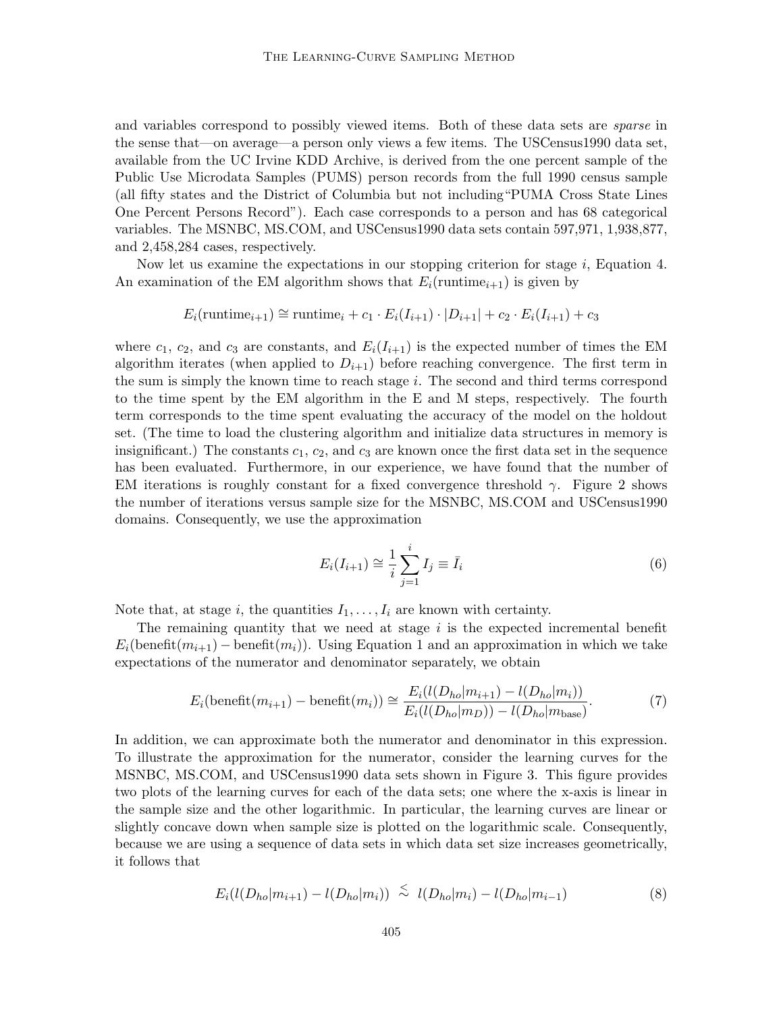and variables correspond to possibly viewed items. Both of these data sets are *sparse* in the sense that—on average—a person only views a few items. The USCensus1990 data set, available from the UC Irvine KDD Archive, is derived from the one percent sample of the Public Use Microdata Samples (PUMS) person records from the full 1990 census sample (all fifty states and the District of Columbia but not including"PUMA Cross State Lines One Percent Persons Record"). Each case corresponds to a person and has 68 categorical variables. The MSNBC, MS.COM, and USCensus1990 data sets contain 597,971, 1,938,877, and 2,458,284 cases, respectively.

Now let us examine the expectations in our stopping criterion for stage  $i$ , Equation 4. An examination of the EM algorithm shows that  $E_i(\text{runtime}_{i+1})$  is given by

$$
E_i(\text{runtime}_{i+1}) \cong \text{runtime}_{i} + c_1 \cdot E_i(I_{i+1}) \cdot |D_{i+1}| + c_2 \cdot E_i(I_{i+1}) + c_3
$$

where  $c_1$ ,  $c_2$ , and  $c_3$  are constants, and  $E_i(I_{i+1})$  is the expected number of times the EM algorithm iterates (when applied to  $D_{i+1}$ ) before reaching convergence. The first term in the sum is simply the known time to reach stage i. The second and third terms correspond to the time spent by the EM algorithm in the E and M steps, respectively. The fourth term corresponds to the time spent evaluating the accuracy of the model on the holdout set. (The time to load the clustering algorithm and initialize data structures in memory is insignificant.) The constants  $c_1, c_2$ , and  $c_3$  are known once the first data set in the sequence has been evaluated. Furthermore, in our experience, we have found that the number of EM iterations is roughly constant for a fixed convergence threshold  $\gamma$ . Figure 2 shows the number of iterations versus sample size for the MSNBC, MS.COM and USCensus1990 domains. Consequently, we use the approximation

$$
E_i(I_{i+1}) \cong \frac{1}{i} \sum_{j=1}^i I_j \equiv \bar{I}_i
$$
\n(6)

Note that, at stage i, the quantities  $I_1, \ldots, I_i$  are known with certainty.

The remaining quantity that we need at stage  $i$  is the expected incremental benefit  $E_i(\text{beneft}(m_{i+1}) - \text{beneft}(m_i))$ . Using Equation 1 and an approximation in which we take expectations of the numerator and denominator separately, we obtain

$$
E_i(\text{beneft}(m_{i+1}) - \text{beneft}(m_i)) \cong \frac{E_i(l(D_{ho}|m_{i+1}) - l(D_{ho}|m_i))}{E_i(l(D_{ho}|m_D)) - l(D_{ho}|m_{base})}.
$$
 (7)

In addition, we can approximate both the numerator and denominator in this expression. To illustrate the approximation for the numerator, consider the learning curves for the MSNBC, MS.COM, and USCensus1990 data sets shown in Figure 3. This figure provides two plots of the learning curves for each of the data sets; one where the x-axis is linear in the sample size and the other logarithmic. In particular, the learning curves are linear or slightly concave down when sample size is plotted on the logarithmic scale. Consequently, because we are using a sequence of data sets in which data set size increases geometrically, it follows that

$$
E_i(l(D_{ho}|m_{i+1}) - l(D_{ho}|m_i)) \stackrel{<}{\sim} l(D_{ho}|m_i) - l(D_{ho}|m_{i-1}) \tag{8}
$$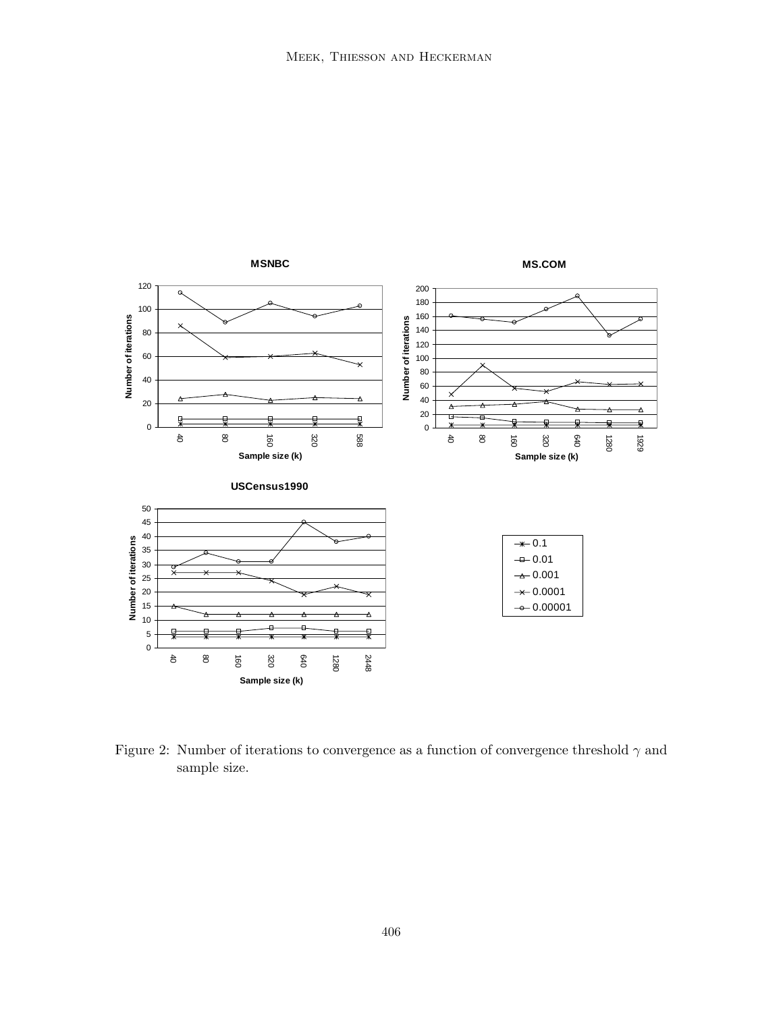

Figure 2: Number of iterations to convergence as a function of convergence threshold  $\gamma$  and sample size.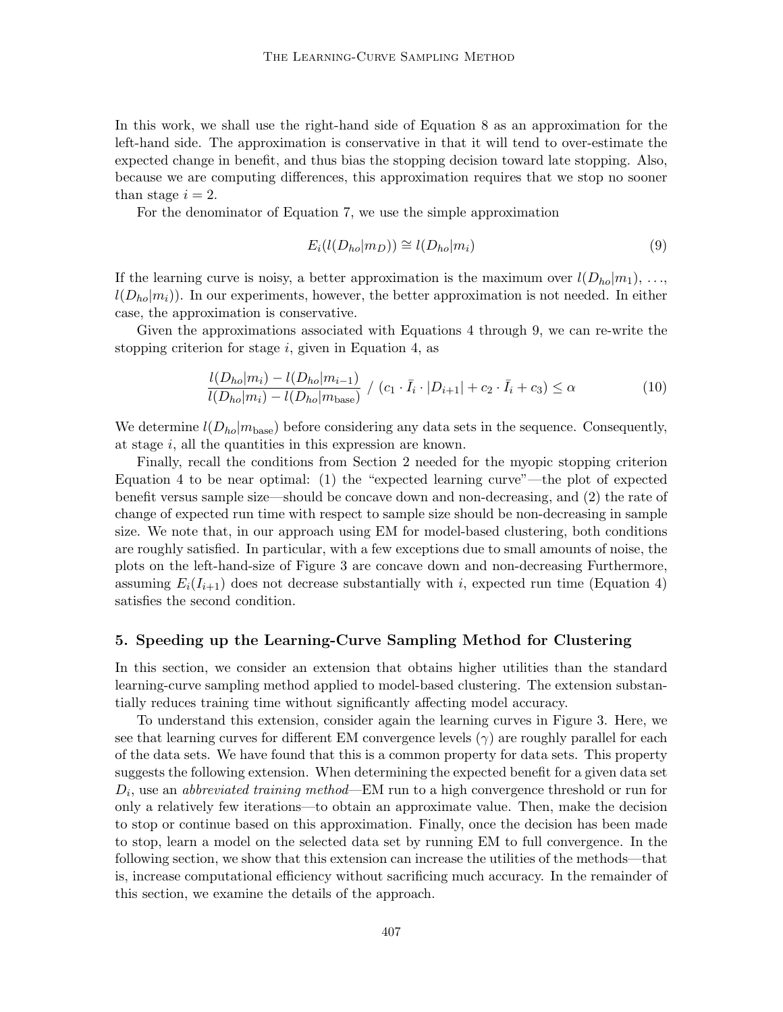In this work, we shall use the right-hand side of Equation 8 as an approximation for the left-hand side. The approximation is conservative in that it will tend to over-estimate the expected change in benefit, and thus bias the stopping decision toward late stopping. Also, because we are computing differences, this approximation requires that we stop no sooner than stage  $i = 2$ .

For the denominator of Equation 7, we use the simple approximation

$$
E_i(l(D_{ho}|m_D)) \cong l(D_{ho}|m_i)
$$
\n(9)

If the learning curve is noisy, a better approximation is the maximum over  $l(D_{ho}|m_1), \ldots,$  $l(D_{ho}|m_i)$ ). In our experiments, however, the better approximation is not needed. In either case, the approximation is conservative.

Given the approximations associated with Equations 4 through 9, we can re-write the stopping criterion for stage  $i$ , given in Equation 4, as

$$
\frac{l(D_{ho}|m_i) - l(D_{ho}|m_{i-1})}{l(D_{ho}|m_i) - l(D_{ho}|m_{base})} / (c_1 \cdot \bar{I}_i \cdot |D_{i+1}| + c_2 \cdot \bar{I}_i + c_3) \le \alpha
$$
\n(10)

We determine  $l(D_{ho}|m_{base})$  before considering any data sets in the sequence. Consequently, at stage i, all the quantities in this expression are known.

Finally, recall the conditions from Section 2 needed for the myopic stopping criterion Equation 4 to be near optimal: (1) the "expected learning curve"—the plot of expected benefit versus sample size—should be concave down and non-decreasing, and (2) the rate of change of expected run time with respect to sample size should be non-decreasing in sample size. We note that, in our approach using EM for model-based clustering, both conditions are roughly satisfied. In particular, with a few exceptions due to small amounts of noise, the plots on the left-hand-size of Figure 3 are concave down and non-decreasing Furthermore, assuming  $E_i(I_{i+1})$  does not decrease substantially with i, expected run time (Equation 4) satisfies the second condition.

### **5. Speeding up the Learning-Curve Sampling Method for Clustering**

In this section, we consider an extension that obtains higher utilities than the standard learning-curve sampling method applied to model-based clustering. The extension substantially reduces training time without significantly affecting model accuracy.

To understand this extension, consider again the learning curves in Figure 3. Here, we see that learning curves for different EM convergence levels  $(\gamma)$  are roughly parallel for each of the data sets. We have found that this is a common property for data sets. This property suggests the following extension. When determining the expected benefit for a given data set  $D_i$ , use an *abbreviated training method*—EM run to a high convergence threshold or run for only a relatively fewiterations—to obtain an approximate value. Then, make the decision to stop or continue based on this approximation. Finally, once the decision has been made to stop, learn a model on the selected data set by running EM to full convergence. In the following section, we show that this extension can increase the utilities of the methods—that is, increase computational efficiency without sacrificing much accuracy. In the remainder of this section, we examine the details of the approach.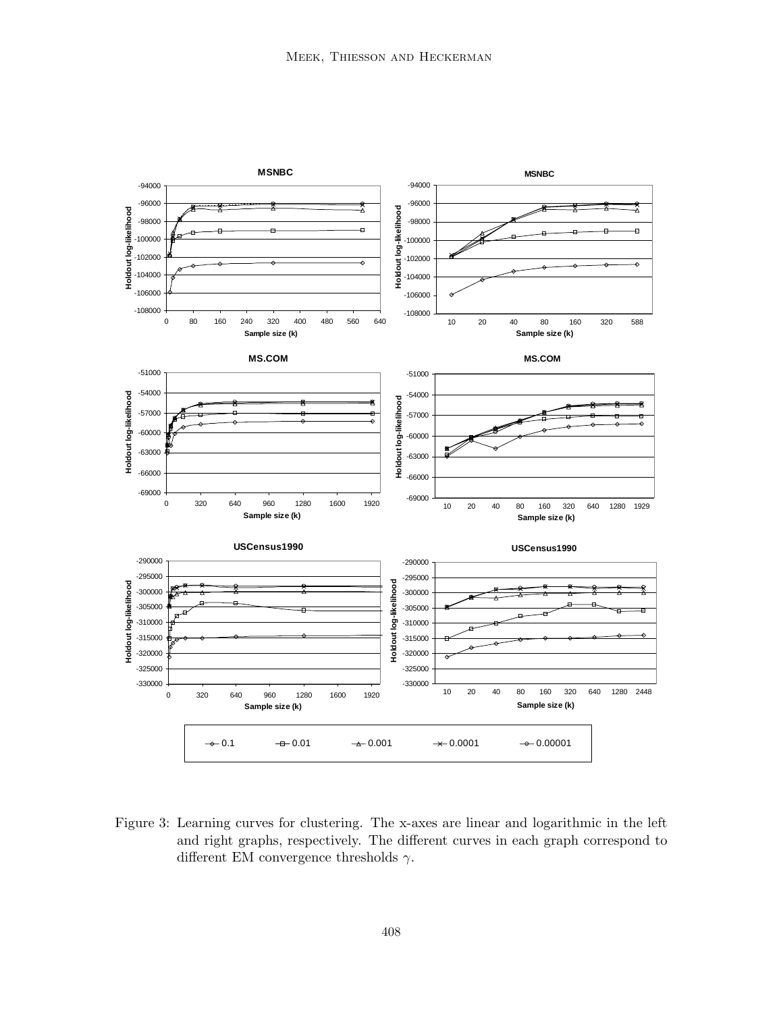

Figure 3: Learning curves for clustering. The x-axes are linear and logarithmic in the left and right graphs, respectively. The different curves in each graph correspond to different EM convergence thresholds  $\gamma$ .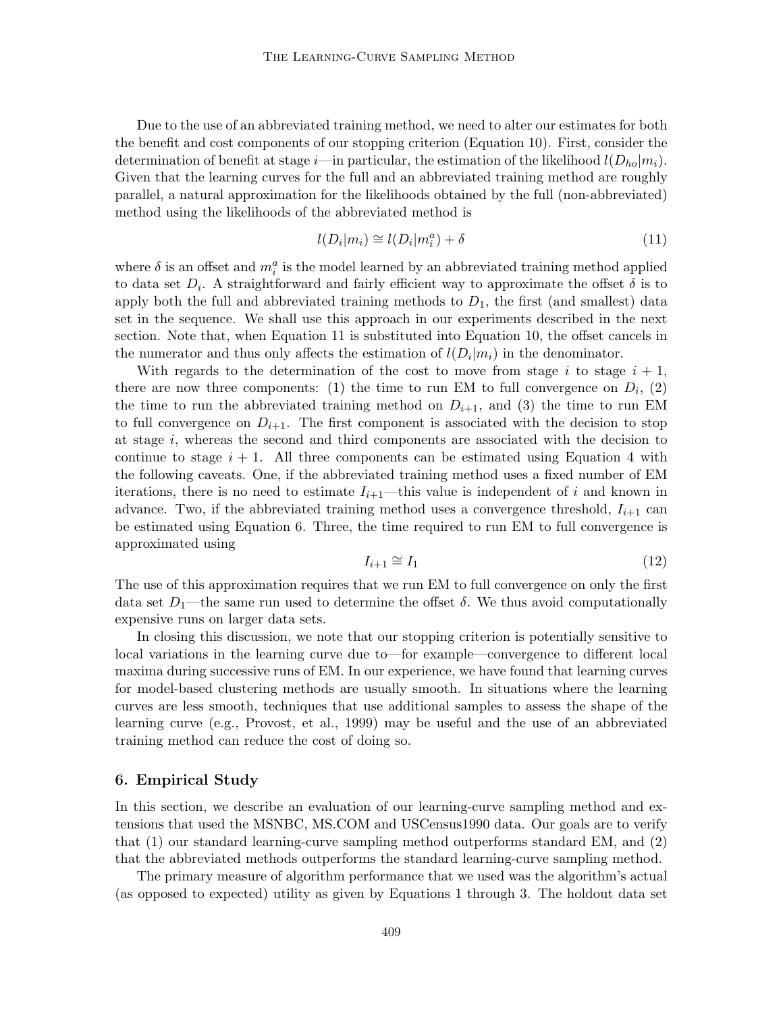Due to the use of an abbreviated training method, we need to alter our estimates for both the benefit and cost components of our stopping criterion (Equation 10). First, consider the determination of benefit at stage *i*—in particular, the estimation of the likelihood  $l(D_{ho}|m_i)$ . Given that the learning curves for the full and an abbreviated training method are roughly parallel, a natural approximation for the likelihoods obtained by the full (non-abbreviated) method using the likelihoods of the abbreviated method is

$$
l(D_i|m_i) \cong l(D_i|m_i^a) + \delta \tag{11}
$$

where  $\delta$  is an offset and  $m_i^a$  is the model learned by an abbreviated training method applied to data set  $D_i$ . A straightforward and fairly efficient way to approximate the offset  $\delta$  is to apply both the full and abbreviated training methods to  $D_1$ , the first (and smallest) data set in the sequence. We shall use this approach in our experiments described in the next section. Note that, when Equation 11 is substituted into Equation 10, the offset cancels in the numerator and thus only affects the estimation of  $l(D_i|m_i)$  in the denominator.

With regards to the determination of the cost to move from stage i to stage  $i + 1$ , there are now three components: (1) the time to run EM to full convergence on  $D_i$ , (2) the time to run the abbreviated training method on  $D_{i+1}$ , and (3) the time to run EM to full convergence on  $D_{i+1}$ . The first component is associated with the decision to stop at stage i, whereas the second and third components are associated with the decision to continue to stage  $i + 1$ . All three components can be estimated using Equation 4 with the following caveats. One, if the abbreviated training method uses a fixed number of EM iterations, there is no need to estimate  $I_{i+1}$ —this value is independent of i and known in advance. Two, if the abbreviated training method uses a convergence threshold,  $I_{i+1}$  can be estimated using Equation 6. Three, the time required to run EM to full convergence is approximated using

$$
I_{i+1} \cong I_1 \tag{12}
$$

The use of this approximation requires that we run EM to full convergence on only the first data set  $D_1$ —the same run used to determine the offset  $\delta$ . We thus avoid computationally expensive runs on larger data sets.

In closing this discussion, we note that our stopping criterion is potentially sensitive to local variations in the learning curve due to—for example—convergence to different local maxima during successive runs of EM. In our experience, we have found that learning curves for model-based clustering methods are usually smooth. In situations where the learning curves are less smooth, techniques that use additional samples to assess the shape of the learning curve (e.g., Provost, et al., 1999) may be useful and the use of an abbreviated training method can reduce the cost of doing so.

## **6. Empirical Study**

In this section, we describe an evaluation of our learning-curve sampling method and extensions that used the MSNBC, MS.COM and USCensus1990 data. Our goals are to verify that (1) our standard learning-curve sampling method outperforms standard EM, and (2) that the abbreviated methods outperforms the standard learning-curve sampling method.

The primary measure of algorithm performance that we used was the algorithm's actual (as opposed to expected) utility as given by Equations 1 through 3. The holdout data set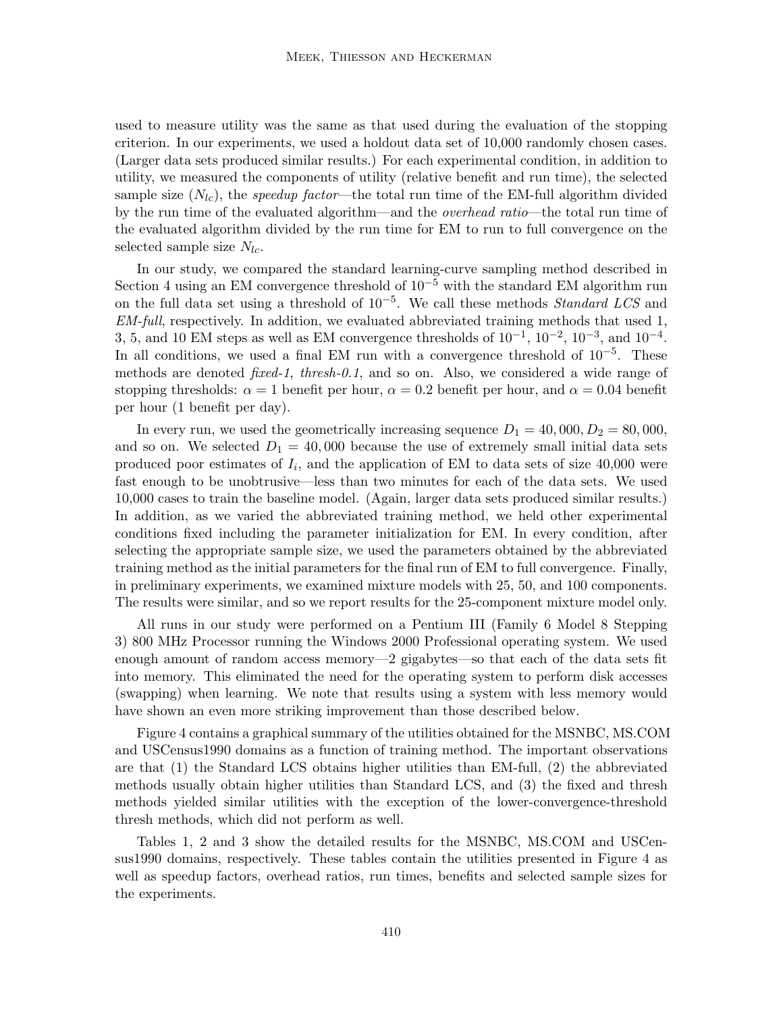used to measure utility was the same as that used during the evaluation of the stopping criterion. In our experiments, we used a holdout data set of 10,000 randomly chosen cases. (Larger data sets produced similar results.) For each experimental condition, in addition to utility, we measured the components of utility (relative benefit and run time), the selected sample size  $(N_{lc})$ , the *speedup factor*—the total run time of the EM-full algorithm divided by the run time of the evaluated algorithm—and the *overhead ratio*—the total run time of the evaluated algorithm divided by the run time for EM to run to full convergence on the selected sample size  $N_{lc}$ .

In our study, we compared the standard learning-curve sampling method described in Section 4 using an EM convergence threshold of  $10^{-5}$  with the standard EM algorithm run on the full data set using a threshold of 10−5. We call these methods *Standard LCS* and *EM-full*, respectively. In addition, we evaluated abbreviated training methods that used 1, 3, 5, and 10 EM steps as well as EM convergence thresholds of  $10^{-1}$ ,  $10^{-2}$ ,  $10^{-3}$ , and  $10^{-4}$ . In all conditions, we used a final EM run with a convergence threshold of  $10^{-5}$ . These methods are denoted *fixed-1*, *thresh-0.1*, and so on. Also, we considered a wide range of stopping thresholds:  $\alpha = 1$  benefit per hour,  $\alpha = 0.2$  benefit per hour, and  $\alpha = 0.04$  benefit per hour (1 benefit per day).

In every run, we used the geometrically increasing sequence  $D_1 = 40,000, D_2 = 80,000,$ and so on. We selected  $D_1 = 40,000$  because the use of extremely small initial data sets produced poor estimates of  $I_i$ , and the application of EM to data sets of size 40,000 were fast enough to be unobtrusive—less than two minutes for each of the data sets. We used 10,000 cases to train the baseline model. (Again, larger data sets produced similar results.) In addition, as we varied the abbreviated training method, we held other experimental conditions fixed including the parameter initialization for EM. In every condition, after selecting the appropriate sample size, we used the parameters obtained by the abbreviated training method as the initial parameters for the final run of EM to full convergence. Finally, in preliminary experiments, we examined mixture models with 25, 50, and 100 components. The results were similar, and so we report results for the 25-component mixture model only.

All runs in our study were performed on a Pentium III (Family 6 Model 8 Stepping 3) 800 MHz Processor running the Windows 2000 Professional operating system. We used enough amount of random access memory—2 gigabytes—so that each of the data sets fit into memory. This eliminated the need for the operating system to perform disk accesses (swapping) when learning. We note that results using a system with less memory would have shown an even more striking improvement than those described below.

Figure 4 contains a graphical summary of the utilities obtained for the MSNBC, MS.COM and USCensus1990 domains as a function of training method. The important observations are that (1) the Standard LCS obtains higher utilities than EM-full, (2) the abbreviated methods usually obtain higher utilities than Standard LCS, and (3) the fixed and thresh methods yielded similar utilities with the exception of the lower-convergence-threshold thresh methods, which did not perform as well.

Tables 1, 2 and 3 showthe detailed results for the MSNBC, MS.COM and USCensus1990 domains, respectively. These tables contain the utilities presented in Figure 4 as well as speedup factors, overhead ratios, run times, benefits and selected sample sizes for the experiments.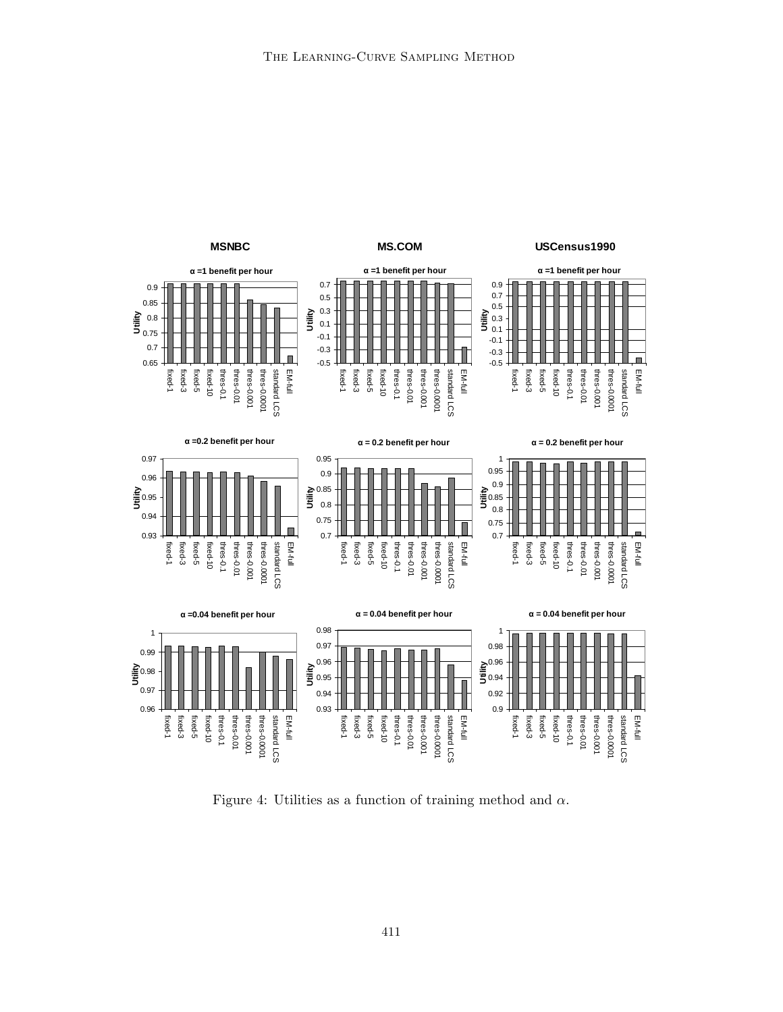

Figure 4: Utilities as a function of training method and  $\alpha$ .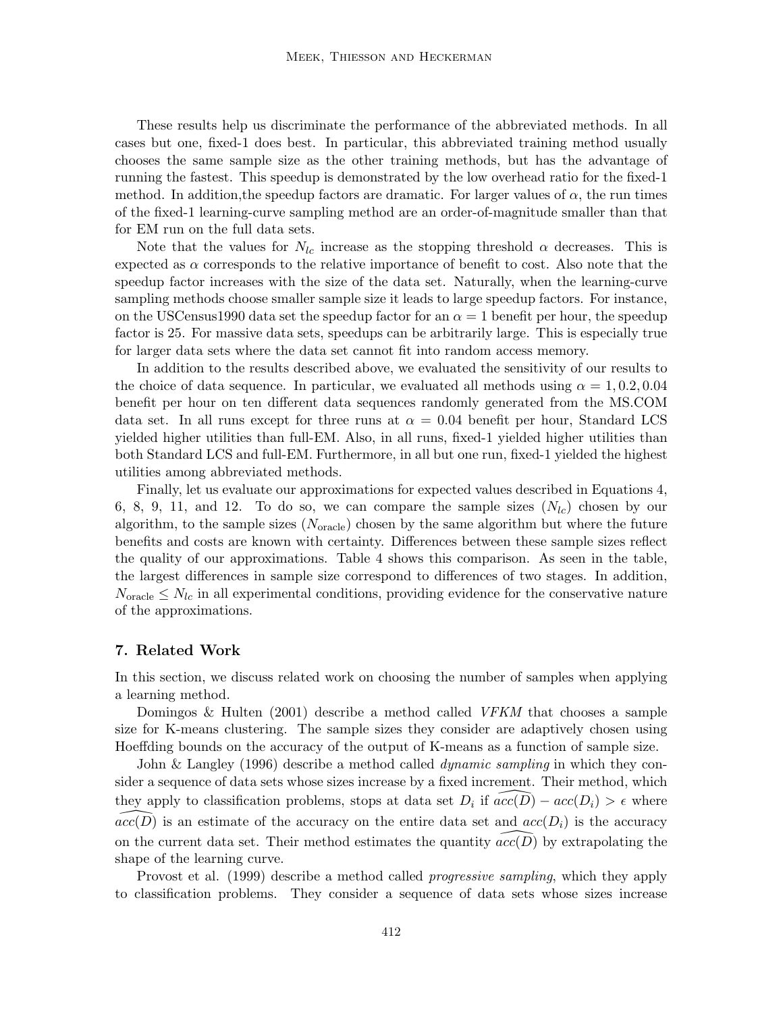These results help us discriminate the performance of the abbreviated methods. In all cases but one, fixed-1 does best. In particular, this abbreviated training method usually chooses the same sample size as the other training methods, but has the advantage of running the fastest. This speedup is demonstrated by the lowoverhead ratio for the fixed-1 method. In addition, the speedup factors are dramatic. For larger values of  $\alpha$ , the run times of the fixed-1 learning-curve sampling method are an order-of-magnitude smaller than that for EM run on the full data sets.

Note that the values for  $N_{lc}$  increase as the stopping threshold  $\alpha$  decreases. This is expected as  $\alpha$  corresponds to the relative importance of benefit to cost. Also note that the speedup factor increases with the size of the data set. Naturally, when the learning-curve sampling methods choose smaller sample size it leads to large speedup factors. For instance, on the USCensus1990 data set the speedup factor for an  $\alpha = 1$  benefit per hour, the speedup factor is 25. For massive data sets, speedups can be arbitrarily large. This is especially true for larger data sets where the data set cannot fit into random access memory.

In addition to the results described above, we evaluated the sensitivity of our results to the choice of data sequence. In particular, we evaluated all methods using  $\alpha = 1, 0.2, 0.04$ benefit per hour on ten different data sequences randomly generated from the MS.COM data set. In all runs except for three runs at  $\alpha = 0.04$  benefit per hour, Standard LCS yielded higher utilities than full-EM. Also, in all runs, fixed-1 yielded higher utilities than both Standard LCS and full-EM. Furthermore, in all but one run, fixed-1 yielded the highest utilities among abbreviated methods.

Finally, let us evaluate our approximations for expected values described in Equations 4, 6, 8, 9, 11, and 12. To do so, we can compare the sample sizes  $(N_{lc})$  chosen by our algorithm, to the sample sizes  $(N_{\text{oracle}})$  chosen by the same algorithm but where the future benefits and costs are known with certainty. Differences between these sample sizes reflect the quality of our approximations. Table 4 shows this comparison. As seen in the table, the largest differences in sample size correspond to differences of two stages. In addition,  $N_{\text{oracle}} \leq N_{lc}$  in all experimental conditions, providing evidence for the conservative nature of the approximations.

#### **7. Related Work**

In this section, we discuss related work on choosing the number of samples when applying a learning method.

Domingos & Hulten (2001) describe a method called *VFKM* that chooses a sample size for K-means clustering. The sample sizes they consider are adaptively chosen using Hoeffding bounds on the accuracy of the output of K-means as a function of sample size.

John & Langley (1996) describe a method called *dynamic sampling* in which they consider a sequence of data sets whose sizes increase by a fixed increment. Their method, which they apply to classification problems, stops at data set  $D_i$  if  $acc(D) - acc(D_i) > \epsilon$  where  $acc(D)$  is an estimate of the accuracy on the entire data set and  $acc(D_i)$  is the accuracy on the current data set. Their method estimates the quantity  $acc(D)$  by extrapolating the shape of the learning curve.

Provost et al. (1999) describe a method called *progressive sampling*, which they apply to classification problems. They consider a sequence of data sets whose sizes increase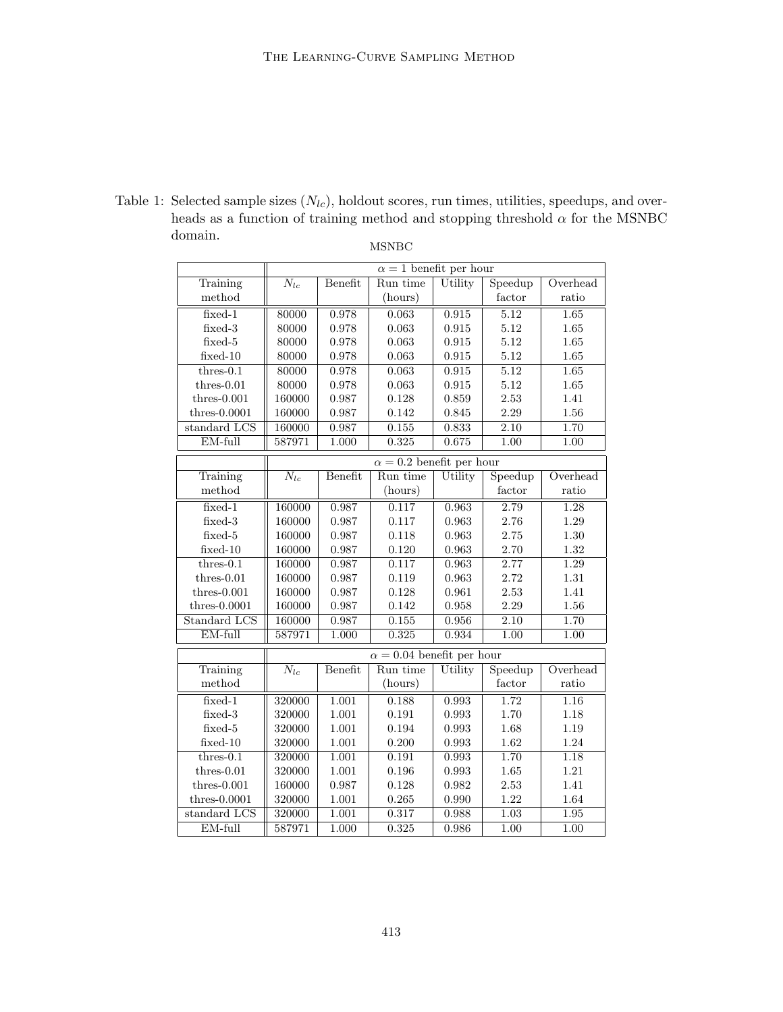| Table 1: Selected sample sizes $(N_{lc})$ , holdout scores, run times, utilities, speedups, and over- |
|-------------------------------------------------------------------------------------------------------|
| heads as a function of training method and stopping threshold $\alpha$ for the MSNBC                  |
| domain.                                                                                               |
| MSNBC -                                                                                               |

|                 | $\alpha = 1$ benefit per hour |             |                                  |             |          |          |  |
|-----------------|-------------------------------|-------------|----------------------------------|-------------|----------|----------|--|
| Training        | $N_{lc}$                      | Benefit     | Run time                         | Utility     | Speedup  | Overhead |  |
| method          |                               |             | (hours)                          |             | factor   | ratio    |  |
| $fixed-1$       | 80000                         | 0.978       | 0.063                            | 0.915       | 5.12     | 1.65     |  |
| fixed-3         | 80000                         | $\rm 0.978$ | 0.063                            | 0.915       | 5.12     | 1.65     |  |
| fixed-5         | 80000                         | 0.978       | 0.063                            | 0.915       | 5.12     | 1.65     |  |
| $fixed-10$      | 80000                         | $0.978\,$   | $\,0.063\,$                      | 0.915       | $5.12\,$ | $1.65\,$ |  |
| $thres-0.1$     | 80000                         | 0.978       | 0.063                            | 0.915       | 5.12     | 1.65     |  |
| $thres-0.01$    | 80000                         | 0.978       | $\,0.063\,$                      | $\,0.915\,$ | 5.12     | 1.65     |  |
| $thres-0.001$   | 160000                        | 0.987       | 0.128                            | 0.859       | 2.53     | 1.41     |  |
| $thres-0.0001$  | 160000                        | 0.987       | 0.142                            | 0.845       | 2.29     | 1.56     |  |
| standard LCS    | 160000                        | 0.987       | 0.155                            | 0.833       | 2.10     | 1.70     |  |
| EM-full         | 587971                        | 1.000       | 0.325                            | 0.675       | 1.00     | 1.00     |  |
|                 |                               |             | $\alpha = 0.2$ benefit per hour  |             |          |          |  |
| Training        | $N_{lc}$                      | Benefit     | Run time                         | Utility     | Speedup  | Overhead |  |
| method          |                               |             | (hours)                          |             | factor   | ratio    |  |
| fixed-1         | 160000                        | 0.987       | 0.117                            | 0.963       | 2.79     | 1.28     |  |
| $fixed-3$       | 160000                        | 0.987       | 0.117                            | 0.963       | 2.76     | 1.29     |  |
| fixed-5         | 160000                        | 0.987       | 0.118                            | 0.963       | 2.75     | 1.30     |  |
| $fixed-10$      | 160000                        | 0.987       | 0.120                            | 0.963       | 2.70     | 1.32     |  |
| $thres-0.1$     | 160000                        | 0.987       | 0.117                            | 0.963       | 2.77     | 1.29     |  |
| $thres-0.01$    | 160000                        | 0.987       | 0.119                            | 0.963       | 2.72     | 1.31     |  |
| $thres-0.001$   | 160000                        | 0.987       | 0.128                            | 0.961       | $2.53\,$ | 1.41     |  |
| thres- $0.0001$ | 160000                        | 0.987       | 0.142                            | 0.958       | 2.29     | $1.56\,$ |  |
| Standard LCS    | 160000                        | 0.987       | 0.155                            | 0.956       | 2.10     | 1.70     |  |
| EM-full         | 587971                        | 1.000       | 0.325                            | 0.934       | 1.00     | 1.00     |  |
|                 |                               |             | $\alpha = 0.04$ benefit per hour |             |          |          |  |
| Training        | $N_{lc}$                      | Benefit     | Run time                         | Utility     | Speedup  | Overhead |  |
| method          |                               |             | (hours)                          |             | factor   | ratio    |  |
| $fixed-1$       | 320000                        | 1.001       | 0.188                            | 0.993       | 1.72     | 1.16     |  |
| $fixed-3$       | 320000                        | 1.001       | 0.191                            | 0.993       | 1.70     | 1.18     |  |
| $fixed-5$       | 320000                        | $1.001\,$   | $\,0.194\,$                      | 0.993       | 1.68     | 1.19     |  |
| $fixed-10$      | 320000                        | $1.001\,$   | 0.200                            | 0.993       | $1.62\,$ | $1.24\,$ |  |
| $thres-0.1$     | 320000                        | 1.001       | 0.191                            | 0.993       | 1.70     | 1.18     |  |
| $thres-0.01$    | 320000                        | 1.001       | 0.196                            | 0.993       | 1.65     | 1.21     |  |
| thres- $0.001$  | 160000                        | 0.987       | 0.128                            | 0.982       | 2.53     | 1.41     |  |
| $thres-0.0001$  | 320000                        | 1.001       | 0.265                            | 0.990       | $1.22\,$ | 1.64     |  |
| standard LCS    | 320000                        | 1.001       | 0.317                            | 0.988       | 1.03     | 1.95     |  |
| EM-full         | 587971                        | 1.000       | 0.325                            | 0.986       | 1.00     | 1.00     |  |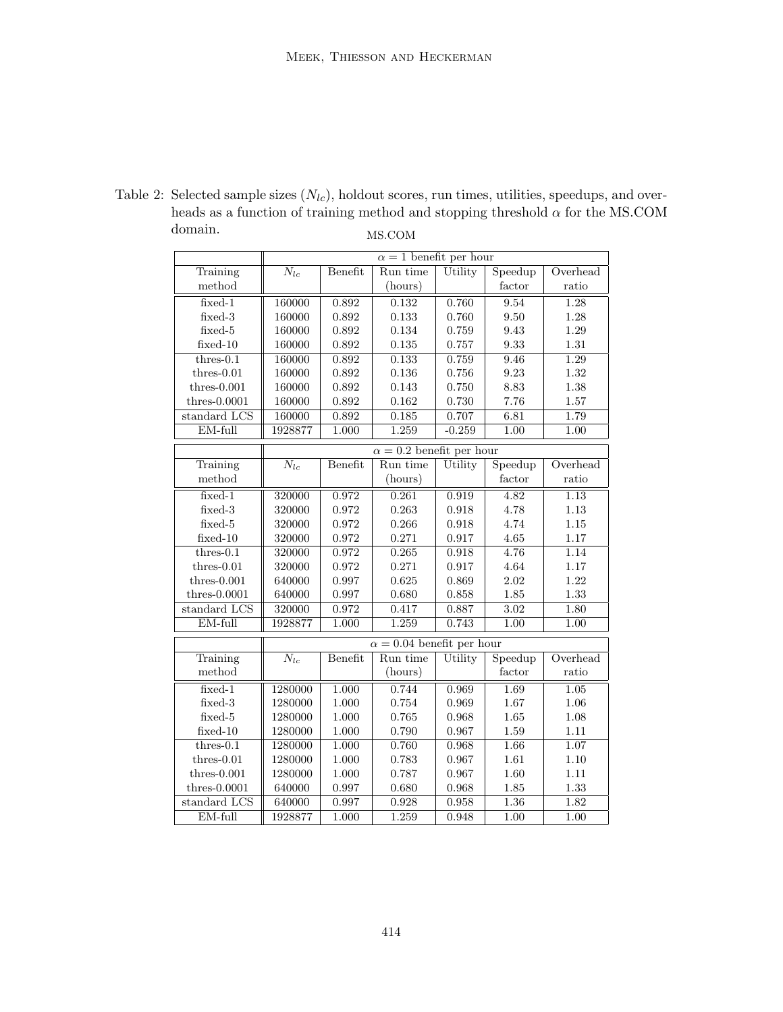| qomam.          |                               |                | MS.COM                           |          |          |                        |
|-----------------|-------------------------------|----------------|----------------------------------|----------|----------|------------------------|
|                 | $\alpha = 1$ benefit per hour |                |                                  |          |          |                        |
| Training        | $N_{lc}$                      | Benefit        | Run time                         | Utility  | Speedup  | Overhead               |
| method          |                               |                | (hours)                          |          | factor   | ratio                  |
| $fixed-1$       | 160000                        | 0.892          | 0.132                            | 0.760    | 9.54     | 1.28                   |
| fixed-3         | 160000                        | $\,0.892\,$    | 0.133                            | 0.760    | 9.50     | 1.28                   |
| fixed-5         | 160000                        | 0.892          | $0.134\,$                        | 0.759    | 9.43     | 1.29                   |
| $fixed-10$      | 160000                        | 0.892          | $0.135\,$                        | 0.757    | 9.33     | 1.31                   |
| $thres-0.1$     | 160000                        | 0.892          | 0.133                            | 0.759    | 9.46     | 1.29                   |
| $thres-0.01$    | 160000                        | 0.892          | $0.136\,$                        | 0.756    | 9.23     | 1.32                   |
| $thres-0.001$   | 160000                        | 0.892          | 0.143                            | 0.750    | 8.83     | 1.38                   |
| thres- $0.0001$ | 160000                        | 0.892          | 0.162                            | 0.730    | 7.76     | $1.57\,$               |
| standard LCS    | 160000                        | 0.892          | 0.185                            | 0.707    | 6.81     | 1.79                   |
| EM-full         | 1928877                       | 1.000          | 1.259                            | $-0.259$ | 1.00     | 1.00                   |
|                 |                               |                | $\alpha = 0.2$ benefit per hour  |          |          |                        |
| Training        | $N_{lc}$                      | <b>Benefit</b> | Run time                         | Utility  | Speedup  | Overhead               |
| method          |                               |                | (hours)                          |          | factor   | $\operatorname{ratio}$ |
| $fixed-1$       | 320000                        | 0.972          | 0.261                            | 0.919    | 4.82     | 1.13                   |
| fixed-3         | 320000                        | 0.972          | 0.263                            | 0.918    | 4.78     | 1.13                   |
| fixed-5         | 320000                        | 0.972          | 0.266                            | 0.918    | 4.74     | 1.15                   |
| $fixed-10$      | 320000                        | 0.972          | 0.271                            | 0.917    | 4.65     | 1.17                   |
| $thres-0.1$     | 320000                        | 0.972          | 0.265                            | 0.918    | 4.76     | 1.14                   |
| $thres-0.01$    | 320000                        | 0.972          | 0.271                            | 0.917    | 4.64     | 1.17                   |
| $thres-0.001$   | 640000                        | 0.997          | 0.625                            | 0.869    | 2.02     | 1.22                   |
| thres- $0.0001$ | 640000                        | 0.997          | 0.680                            | 0.858    | 1.85     | 1.33                   |
| standard LCS    | 320000                        | 0.972          | 0.417                            | 0.887    | 3.02     | 1.80                   |
| EM-full         | 1928877                       | 1.000          | 1.259                            | 0.743    | 1.00     | 1.00                   |
|                 |                               |                | $\alpha = 0.04$ benefit per hour |          |          |                        |
| Training        | $\overline{N_{lc}}$           | Benefit        | Run time                         | Utility  | Speedup  | Overhead               |
| method          |                               |                | (hours)                          |          | factor   | ratio                  |
| $fixed-1$       | 1280000                       | 1.000          | 0.744                            | 0.969    | 1.69     | 1.05                   |
| fixed-3         | 1280000                       | 1.000          | 0.754                            | 0.969    | 1.67     | 1.06                   |
| fixed-5         | 1280000                       | 1.000          | 0.765                            | 0.968    | $1.65\,$ | 1.08                   |
| $fixed-10$      | 1280000                       | 1.000          | 0.790                            | 0.967    | $1.59\,$ | 1.11                   |
| $thres-0.1$     | 1280000                       | 1.000          | 0.760                            | 0.968    | 1.66     | 1.07                   |
| $thres-0.01$    | 1280000                       | 1.000          | 0.783                            | 0.967    | 1.61     | 1.10                   |
| $thres-0.001$   | 1280000                       | 1.000          | 0.787                            | 0.967    | 1.60     | 1.11                   |
| $thres-0.0001$  | 640000                        | 0.997          | 0.680                            | 0.968    | 1.85     | 1.33                   |
| standard LCS    | 640000                        | 0.997          | 0.928                            | 0.958    | 1.36     | 1.82                   |
| $EM$ -full      | 1928877                       | 1.000          | 1.259                            | 0.948    | 1.00     | 1.00                   |

Table 2: Selected sample sizes  $(N_{lc})$ , holdout scores, run times, utilities, speedups, and overheads as a function of training method and stopping threshold  $\alpha$  for the MS.COM domain domain. MS.COM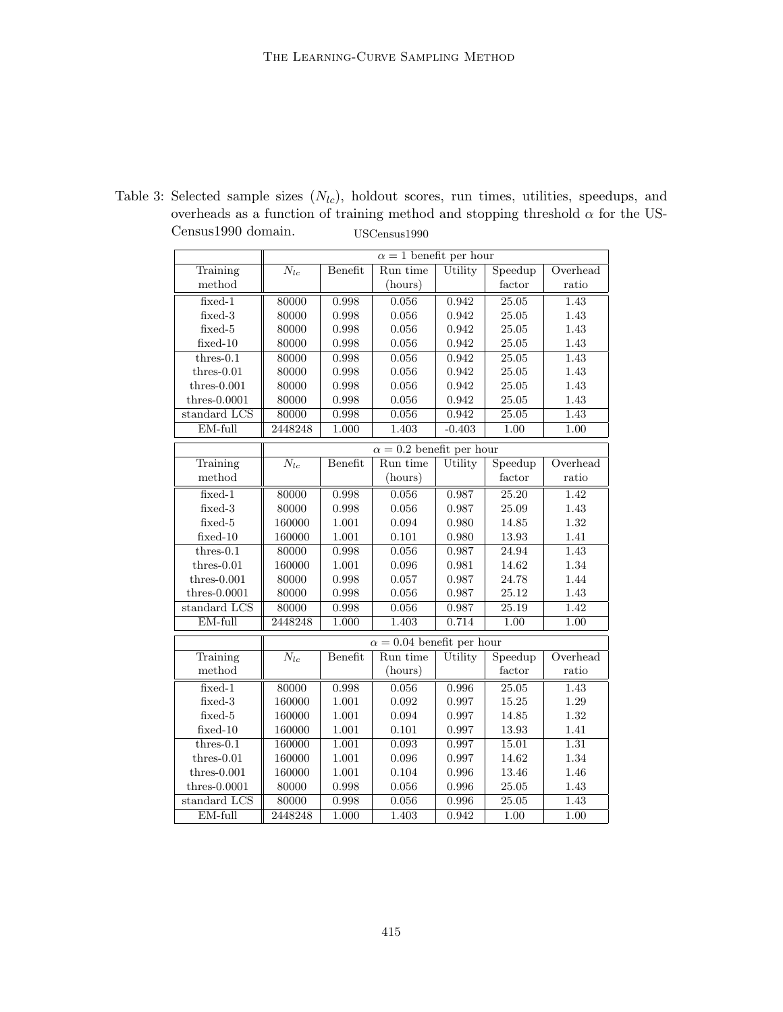|                 | $\alpha = 1$ benefit per hour |         |                                  |          |           |          |
|-----------------|-------------------------------|---------|----------------------------------|----------|-----------|----------|
| Training        | $N_{lc}$                      | Benefit | Run time                         | Utility  | Speedup   | Overhead |
| method          |                               |         | (hours)                          |          | factor    | ratio    |
| $fixed-1$       | 80000                         | 0.998   | 0.056                            | 0.942    | 25.05     | 1.43     |
| fixed-3         | 80000                         | 0.998   | 0.056                            | 0.942    | 25.05     | 1.43     |
| fixed-5         | 80000                         | 0.998   | 0.056                            | 0.942    | 25.05     | 1.43     |
| $fixed-10$      | 80000                         | 0.998   | 0.056                            | 0.942    | 25.05     | 1.43     |
| $thres-0.1$     | 80000                         | 0.998   | 0.056                            | 0.942    | 25.05     | 1.43     |
| $thres-0.01$    | 80000                         | 0.998   | 0.056                            | 0.942    | 25.05     | 1.43     |
| $thres-0.001$   | 80000                         | 0.998   | $0.056\,$                        | 0.942    | $25.05\,$ | 1.43     |
| thres- $0.0001$ | 80000                         | 0.998   | $0.056\,$                        | 0.942    | 25.05     | 1.43     |
| standard LCS    | 80000                         | 0.998   | 0.056                            | 0.942    | 25.05     | 1.43     |
| EM-full         | 2448248                       | 1.000   | 1.403                            | $-0.403$ | 1.00      | 1.00     |
|                 |                               |         | $\alpha = 0.2$ benefit per hour  |          |           |          |
| Training        | $N_{lc}$                      | Benefit | Run time                         | Utility  | Speedup   | Overhead |
| method          |                               |         | (hours)                          |          | factor    | ratio    |
| $fixed-1$       | 80000                         | 0.998   | 0.056                            | 0.987    | 25.20     | 1.42     |
| fixed-3         | 80000                         | 0.998   | 0.056                            | 0.987    | 25.09     | 1.43     |
| fixed-5         | 160000                        | 1.001   | 0.094                            | 0.980    | 14.85     | 1.32     |
| $fixed-10$      | 160000                        | 1.001   | $0.101\,$                        | 0.980    | 13.93     | 1.41     |
| $thres-0.1$     | 80000                         | 0.998   | 0.056                            | 0.987    | 24.94     | 1.43     |
| $thres-0.01$    | 160000                        | 1.001   | 0.096                            | 0.981    | 14.62     | 1.34     |
| $thres-0.001$   | 80000                         | 0.998   | 0.057                            | 0.987    | 24.78     | 1.44     |
| thres- $0.0001$ | 80000                         | 0.998   | $0.056\,$                        | 0.987    | 25.12     | 1.43     |
| standard LCS    | 80000                         | 0.998   | 0.056                            | 0.987    | 25.19     | 1.42     |
| EM-full         | 2448248                       | 1.000   | 1.403                            | 0.714    | 1.00      | 1.00     |
|                 |                               |         | $\alpha = 0.04$ benefit per hour |          |           |          |
| Training        | $N_{lc}$                      | Benefit | Run time                         | Utility  | Speedup   | Overhead |
| method          |                               |         | (hours)                          |          | factor    | ratio    |
| $fixed-1$       | 80000                         | 0.998   | 0.056                            | 0.996    | 25.05     | 1.43     |
| fixed-3         | 160000                        | 1.001   | 0.092                            | 0.997    | 15.25     | 1.29     |
| fixed-5         | 160000                        | 1.001   | 0.094                            | 0.997    | 14.85     | 1.32     |
| $fixed-10$      | 160000                        | 1.001   | $0.101\,$                        | 0.997    | 13.93     | 1.41     |
| $thres-0.1$     | 160000                        | 1.001   | 0.093                            | 0.997    | 15.01     | 1.31     |
| $thres-0.01$    | 160000                        | 1.001   | 0.096                            | 0.997    | 14.62     | 1.34     |
| $thres-0.001$   | 160000                        | 1.001   | 0.104                            | 0.996    | 13.46     | 1.46     |
| $thres-0.0001$  | 80000                         | 0.998   | 0.056                            | 0.996    | 25.05     | 1.43     |
| standard LCS    | 80000                         | 0.998   | 0.056                            | 0.996    | 25.05     | 1.43     |
| EM-full         | 2448248                       | 1.000   | 1.403                            | 0.942    | 1.00      | 1.00     |

Table 3: Selected sample sizes  $(N_{lc})$ , holdout scores, run times, utilities, speedups, and overheads as a function of training method and stopping threshold  $\alpha$  for the US-Census1990 domain. USCensus1990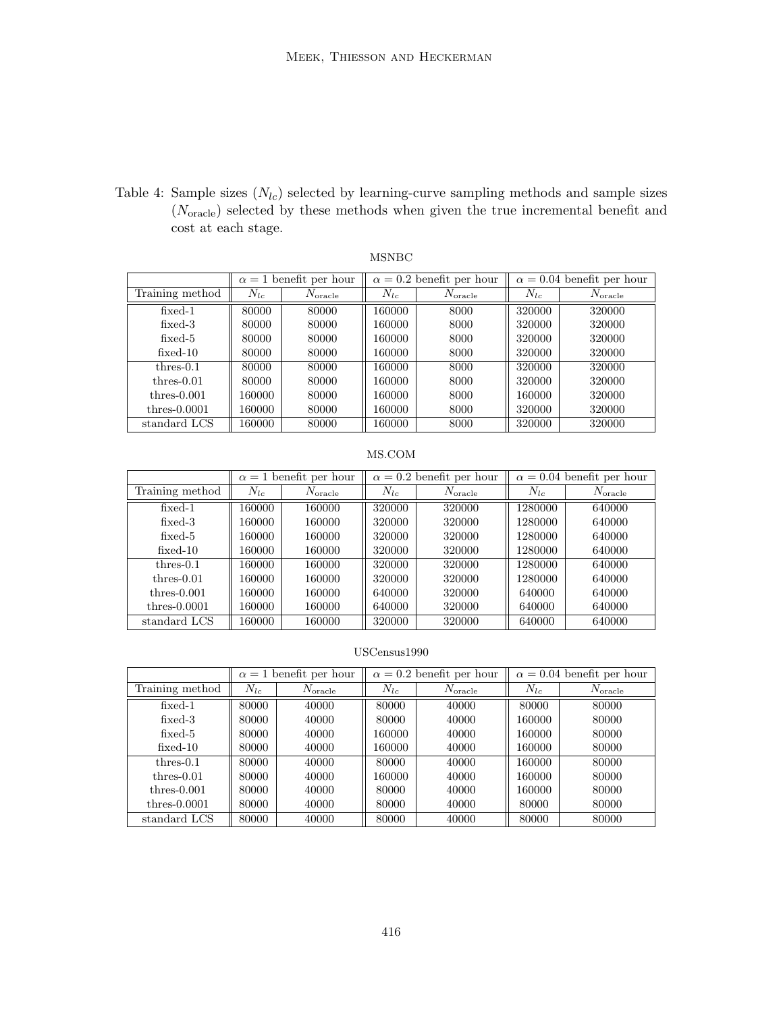Table 4: Sample sizes  $(N_{lc})$  selected by learning-curve sampling methods and sample sizes  $(N_{\rm oracle})$  selected by these methods when given the true incremental benefit and cost at each stage.

## MSNBC

|                 |          | $\alpha = 1$ benefit per hour |          | $\alpha = 0.2$ benefit per hour | $\alpha = 0.04$ benefit per hour |                       |
|-----------------|----------|-------------------------------|----------|---------------------------------|----------------------------------|-----------------------|
| Training method | $N_{lc}$ | $N_{\mathrm{oracle}}$         | $N_{lc}$ | $N_{\mathrm{oracle}}$           | $N_{lc}$                         | $N_{\mathrm{oracle}}$ |
| $fixed-1$       | 80000    | 80000                         | 160000   | 8000                            | 320000                           | 320000                |
| $fixed-3$       | 80000    | 80000                         | 160000   | 8000                            | 320000                           | 320000                |
| $fixed-5$       | 80000    | 80000                         | 160000   | 8000                            | 320000                           | 320000                |
| $fixed-10$      | 80000    | 80000                         | 160000   | 8000                            | 320000                           | 320000                |
| $thres-0.1$     | 80000    | 80000                         | 160000   | 8000                            | 320000                           | 320000                |
| $thres-0.01$    | 80000    | 80000                         | 160000   | 8000                            | 320000                           | 320000                |
| $thres-0.001$   | 160000   | 80000                         | 160000   | 8000                            | 160000                           | 320000                |
| thres- $0.0001$ | 160000   | 80000                         | 160000   | 8000                            | 320000                           | 320000                |
| standard LCS    | 160000   | 80000                         | 160000   | 8000                            | 320000                           | 320000                |

#### MS.COM

|                 | $\alpha = 1$ benefit per hour |                       | $\alpha = 0.2$ benefit per hour |                       | $\alpha = 0.04$ benefit per hour |                       |
|-----------------|-------------------------------|-----------------------|---------------------------------|-----------------------|----------------------------------|-----------------------|
| Training method | $N_{lc}$                      | $N_{\mathrm{oracle}}$ | $N_{lc}$                        | $N_{\mathrm{oracle}}$ | $N_{lc}$                         | $N_{\mathrm{oracle}}$ |
| $fixed-1$       | 160000                        | 160000                | 320000                          | 320000                | 1280000                          | 640000                |
| $fixed-3$       | 160000                        | 160000                | 320000                          | 320000                | 1280000                          | 640000                |
| $fixed-5$       | 160000                        | 160000                | 320000                          | 320000                | 1280000                          | 640000                |
| $fixed-10$      | 160000                        | 160000                | 320000                          | 320000                | 1280000                          | 640000                |
| $thres-0.1$     | 160000                        | 160000                | 320000                          | 320000                | 1280000                          | 640000                |
| $thres-0.01$    | 160000                        | 160000                | 320000                          | 320000                | 1280000                          | 640000                |
| $thres-0.001$   | 160000                        | 160000                | 640000                          | 320000                | 640000                           | 640000                |
| thres- $0.0001$ | 160000                        | 160000                | 640000                          | 320000                | 640000                           | 640000                |
| standard LCS    | 160000                        | 160000                | 320000                          | 320000                | 640000                           | 640000                |

## USCensus1990

|                 | $\alpha = 1$ benefit per hour |                       | $\alpha = 0.2$ benefit per hour |                       | $\alpha = 0.04$ benefit per hour |                       |
|-----------------|-------------------------------|-----------------------|---------------------------------|-----------------------|----------------------------------|-----------------------|
| Training method | $N_{lc}$                      | $N_{\mathrm{oracle}}$ | $N_{lc}$                        | $N_{\mathrm{oracle}}$ | $N_{lc}$                         | $N_{\mathrm{oracle}}$ |
| $fixed-1$       | 80000                         | 40000                 | 80000                           | 40000                 | 80000                            | 80000                 |
| $fixed-3$       | 80000                         | 40000                 | 80000                           | 40000                 | 160000                           | 80000                 |
| $fixed-5$       | 80000                         | 40000                 | 160000                          | 40000                 | 160000                           | 80000                 |
| $fixed-10$      | 80000                         | 40000                 | 160000                          | 40000                 | 160000                           | 80000                 |
| $thres-0.1$     | 80000                         | 40000                 | 80000                           | 40000                 | 160000                           | 80000                 |
| $thres-0.01$    | 80000                         | 40000                 | 160000                          | 40000                 | 160000                           | 80000                 |
| $thres-0.001$   | 80000                         | 40000                 | 80000                           | 40000                 | 160000                           | 80000                 |
| thres- $0.0001$ | 80000                         | 40000                 | 80000                           | 40000                 | 80000                            | 80000                 |
| standard LCS    | 80000                         | 40000                 | 80000                           | 40000                 | 80000                            | 80000                 |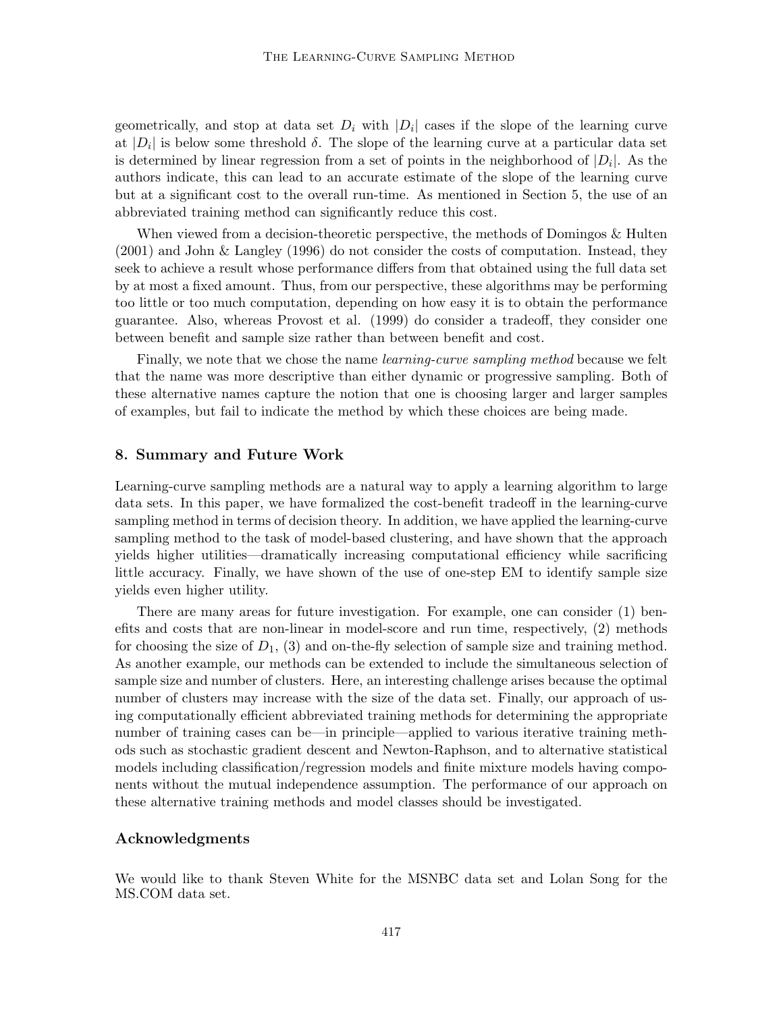geometrically, and stop at data set  $D_i$  with  $|D_i|$  cases if the slope of the learning curve at  $|D_i|$  is below some threshold  $\delta$ . The slope of the learning curve at a particular data set is determined by linear regression from a set of points in the neighborhood of  $|D_i|$ . As the authors indicate, this can lead to an accurate estimate of the slope of the learning curve but at a significant cost to the overall run-time. As mentioned in Section 5, the use of an abbreviated training method can significantly reduce this cost.

When viewed from a decision-theoretic perspective, the methods of Domingos & Hulten (2001) and John & Langley (1996) do not consider the costs of computation. Instead, they seek to achieve a result whose performance differs from that obtained using the full data set by at most a fixed amount. Thus, from our perspective, these algorithms may be performing too little or too much computation, depending on howeasy it is to obtain the performance guarantee. Also, whereas Provost et al. (1999) do consider a tradeoff, they consider one between benefit and sample size rather than between benefit and cost.

Finally, we note that we chose the name *learning-curve sampling method* because we felt that the name was more descriptive than either dynamic or progressive sampling. Both of these alternative names capture the notion that one is choosing larger and larger samples of examples, but fail to indicate the method by which these choices are being made.

### **8. Summary and Future Work**

Learning-curve sampling methods are a natural way to apply a learning algorithm to large data sets. In this paper, we have formalized the cost-benefit tradeoff in the learning-curve sampling method in terms of decision theory. In addition, we have applied the learning-curve sampling method to the task of model-based clustering, and have shown that the approach yields higher utilities—dramatically increasing computational efficiency while sacrificing little accuracy. Finally, we have shown of the use of one-step EM to identify sample size yields even higher utility.

There are many areas for future investigation. For example, one can consider (1) benefits and costs that are non-linear in model-score and run time, respectively, (2) methods for choosing the size of  $D_1$ , (3) and on-the-fly selection of sample size and training method. As another example, our methods can be extended to include the simultaneous selection of sample size and number of clusters. Here, an interesting challenge arises because the optimal number of clusters may increase with the size of the data set. Finally, our approach of using computationally efficient abbreviated training methods for determining the appropriate number of training cases can be—in principle—applied to various iterative training methods such as stochastic gradient descent and Newton-Raphson, and to alternative statistical models including classification/regression models and finite mixture models having components without the mutual independence assumption. The performance of our approach on these alternative training methods and model classes should be investigated.

#### **Acknowledgments**

We would like to thank Steven White for the MSNBC data set and Lolan Song for the MS.COM data set.